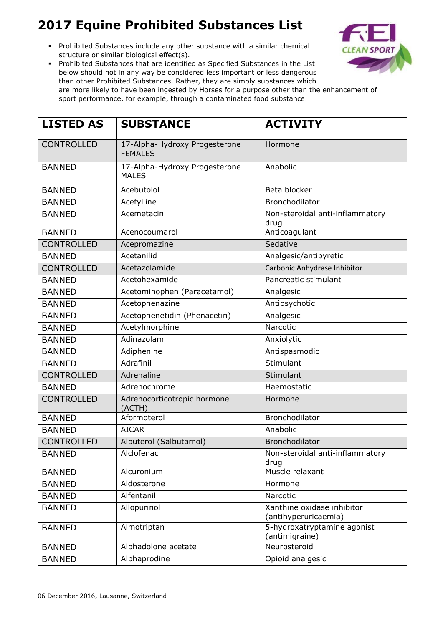Prohibited Substances include any other substance with a similar chemical structure or similar biological effect(s).



| <b>LISTED AS</b>  | <b>SUBSTANCE</b>                                | <b>ACTIVITY</b>                                    |
|-------------------|-------------------------------------------------|----------------------------------------------------|
| <b>CONTROLLED</b> | 17-Alpha-Hydroxy Progesterone<br><b>FEMALES</b> | Hormone                                            |
| <b>BANNED</b>     | 17-Alpha-Hydroxy Progesterone<br><b>MALES</b>   | Anabolic                                           |
| <b>BANNED</b>     | Acebutolol                                      | Beta blocker                                       |
| <b>BANNED</b>     | Acefylline                                      | Bronchodilator                                     |
| <b>BANNED</b>     | Acemetacin                                      | Non-steroidal anti-inflammatory<br>drug            |
| <b>BANNED</b>     | Acenocoumarol                                   | Anticoagulant                                      |
| <b>CONTROLLED</b> | Acepromazine                                    | Sedative                                           |
| <b>BANNED</b>     | Acetanilid                                      | Analgesic/antipyretic                              |
| <b>CONTROLLED</b> | Acetazolamide                                   | Carbonic Anhydrase Inhibitor                       |
| <b>BANNED</b>     | Acetohexamide                                   | Pancreatic stimulant                               |
| <b>BANNED</b>     | Acetominophen (Paracetamol)                     | Analgesic                                          |
| <b>BANNED</b>     | Acetophenazine                                  | Antipsychotic                                      |
| <b>BANNED</b>     | Acetophenetidin (Phenacetin)                    | Analgesic                                          |
| <b>BANNED</b>     | Acetylmorphine                                  | Narcotic                                           |
| <b>BANNED</b>     | Adinazolam                                      | Anxiolytic                                         |
| <b>BANNED</b>     | Adiphenine                                      | Antispasmodic                                      |
| <b>BANNED</b>     | Adrafinil                                       | Stimulant                                          |
| <b>CONTROLLED</b> | Adrenaline                                      | Stimulant                                          |
| <b>BANNED</b>     | Adrenochrome                                    | Haemostatic                                        |
| <b>CONTROLLED</b> | Adrenocorticotropic hormone<br>(ACTH)           | Hormone                                            |
| <b>BANNED</b>     | Aformoterol                                     | Bronchodilator                                     |
| <b>BANNED</b>     | <b>AICAR</b>                                    | Anabolic                                           |
| <b>CONTROLLED</b> | Albuterol (Salbutamol)                          | <b>Bronchodilator</b>                              |
| <b>BANNED</b>     | Alclofenac                                      | Non-steroidal anti-inflammatory<br>drug            |
| <b>BANNED</b>     | Alcuronium                                      | Muscle relaxant                                    |
| <b>BANNED</b>     | Aldosterone                                     | Hormone                                            |
| <b>BANNED</b>     | Alfentanil                                      | Narcotic                                           |
| <b>BANNED</b>     | Allopurinol                                     | Xanthine oxidase inhibitor<br>(antihyperuricaemia) |
| <b>BANNED</b>     | Almotriptan                                     | 5-hydroxatryptamine agonist<br>(antimigraine)      |
| <b>BANNED</b>     | Alphadolone acetate                             | Neurosteroid                                       |
| <b>BANNED</b>     | Alphaprodine                                    | Opioid analgesic                                   |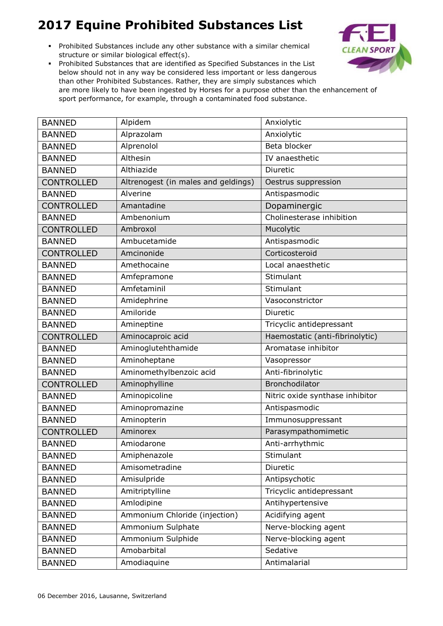Prohibited Substances include any other substance with a similar chemical structure or similar biological effect(s).



| <b>BANNED</b>     | Alpidem                             | Anxiolytic                      |
|-------------------|-------------------------------------|---------------------------------|
| <b>BANNED</b>     | Alprazolam                          | Anxiolytic                      |
| <b>BANNED</b>     | Alprenolol                          | Beta blocker                    |
| <b>BANNED</b>     | Althesin                            | IV anaesthetic                  |
| <b>BANNED</b>     | Althiazide                          | Diuretic                        |
| <b>CONTROLLED</b> | Altrenogest (in males and geldings) | Oestrus suppression             |
| <b>BANNED</b>     | Alverine                            | Antispasmodic                   |
| <b>CONTROLLED</b> | Amantadine                          | Dopaminergic                    |
| <b>BANNED</b>     | Ambenonium                          | Cholinesterase inhibition       |
| <b>CONTROLLED</b> | Ambroxol                            | Mucolytic                       |
| <b>BANNED</b>     | Ambucetamide                        | Antispasmodic                   |
| <b>CONTROLLED</b> | Amcinonide                          | Corticosteroid                  |
| <b>BANNED</b>     | Amethocaine                         | Local anaesthetic               |
| <b>BANNED</b>     | Amfepramone                         | Stimulant                       |
| <b>BANNED</b>     | Amfetaminil                         | Stimulant                       |
| <b>BANNED</b>     | Amidephrine                         | Vasoconstrictor                 |
| <b>BANNED</b>     | Amiloride                           | Diuretic                        |
| <b>BANNED</b>     | Amineptine                          | Tricyclic antidepressant        |
| <b>CONTROLLED</b> | Aminocaproic acid                   | Haemostatic (anti-fibrinolytic) |
| <b>BANNED</b>     | Aminoglutehthamide                  | Aromatase inhibitor             |
| <b>BANNED</b>     | Aminoheptane                        | Vasopressor                     |
| <b>BANNED</b>     | Aminomethylbenzoic acid             | Anti-fibrinolytic               |
| <b>CONTROLLED</b> | Aminophylline                       | Bronchodilator                  |
| <b>BANNED</b>     | Aminopicoline                       | Nitric oxide synthase inhibitor |
| <b>BANNED</b>     | Aminopromazine                      | Antispasmodic                   |
| <b>BANNED</b>     | Aminopterin                         | Immunosuppressant               |
| <b>CONTROLLED</b> | Aminorex                            | Parasympathomimetic             |
| <b>BANNED</b>     | Amiodarone                          | Anti-arrhythmic                 |
| <b>BANNED</b>     | Amiphenazole                        | Stimulant                       |
| <b>BANNED</b>     | Amisometradine                      | Diuretic                        |
| <b>BANNED</b>     | Amisulpride                         | Antipsychotic                   |
| <b>BANNED</b>     | Amitriptylline                      | Tricyclic antidepressant        |
| <b>BANNED</b>     | Amlodipine                          | Antihypertensive                |
| <b>BANNED</b>     | Ammonium Chloride (injection)       | Acidifying agent                |
| <b>BANNED</b>     | Ammonium Sulphate                   | Nerve-blocking agent            |
| <b>BANNED</b>     | Ammonium Sulphide                   | Nerve-blocking agent            |
| <b>BANNED</b>     | Amobarbital                         | Sedative                        |
| <b>BANNED</b>     | Amodiaquine                         | Antimalarial                    |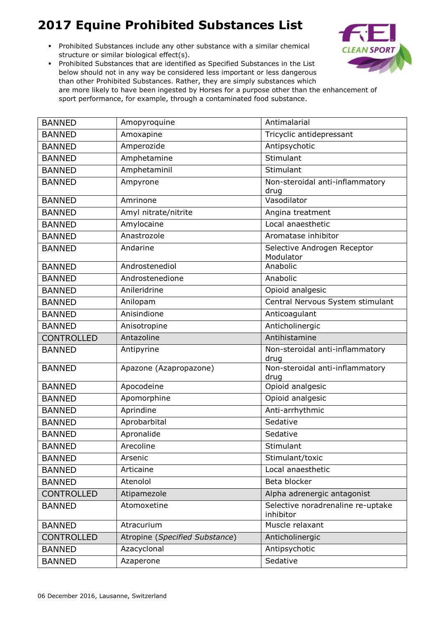Prohibited Substances include any other substance with a similar chemical structure or similar biological effect(s).



| <b>BANNED</b>     | Amopyroquine                   | Antimalarial                                   |
|-------------------|--------------------------------|------------------------------------------------|
| <b>BANNED</b>     | Amoxapine                      | Tricyclic antidepressant                       |
| <b>BANNED</b>     | Amperozide                     | Antipsychotic                                  |
| <b>BANNED</b>     | Amphetamine                    | Stimulant                                      |
| <b>BANNED</b>     | Amphetaminil                   | Stimulant                                      |
| <b>BANNED</b>     | Ampyrone                       | Non-steroidal anti-inflammatory<br>drug        |
| <b>BANNED</b>     | Amrinone                       | Vasodilator                                    |
| <b>BANNED</b>     | Amyl nitrate/nitrite           | Angina treatment                               |
| <b>BANNED</b>     | Amylocaine                     | Local anaesthetic                              |
| <b>BANNED</b>     | Anastrozole                    | Aromatase inhibitor                            |
| <b>BANNED</b>     | Andarine                       | Selective Androgen Receptor<br>Modulator       |
| <b>BANNED</b>     | Androstenediol                 | Anabolic                                       |
| <b>BANNED</b>     | Androstenedione                | Anabolic                                       |
| <b>BANNED</b>     | Anileridrine                   | Opioid analgesic                               |
| <b>BANNED</b>     | Anilopam                       | Central Nervous System stimulant               |
| <b>BANNED</b>     | Anisindione                    | Anticoagulant                                  |
| <b>BANNED</b>     | Anisotropine                   | Anticholinergic                                |
| <b>CONTROLLED</b> | Antazoline                     | Antihistamine                                  |
| <b>BANNED</b>     | Antipyrine                     | Non-steroidal anti-inflammatory<br>drug        |
| <b>BANNED</b>     | Apazone (Azapropazone)         | Non-steroidal anti-inflammatory<br>drug        |
| <b>BANNED</b>     | Apocodeine                     | Opioid analgesic                               |
| <b>BANNED</b>     | Apomorphine                    | Opioid analgesic                               |
| <b>BANNED</b>     | Aprindine                      | Anti-arrhythmic                                |
| <b>BANNED</b>     | Aprobarbital                   | Sedative                                       |
| <b>BANNED</b>     | Apronalide                     | Sedative                                       |
| <b>BANNED</b>     | Arecoline                      | Stimulant                                      |
| <b>BANNED</b>     | Arsenic                        | Stimulant/toxic                                |
| <b>BANNED</b>     | Articaine                      | Local anaesthetic                              |
| <b>BANNED</b>     | Atenolol                       | Beta blocker                                   |
| <b>CONTROLLED</b> | Atipamezole                    | Alpha adrenergic antagonist                    |
| <b>BANNED</b>     | Atomoxetine                    | Selective noradrenaline re-uptake<br>inhibitor |
| <b>BANNED</b>     | Atracurium                     | Muscle relaxant                                |
| <b>CONTROLLED</b> | Atropine (Specified Substance) | Anticholinergic                                |
| <b>BANNED</b>     | Azacyclonal                    | Antipsychotic                                  |
| <b>BANNED</b>     | Azaperone                      | Sedative                                       |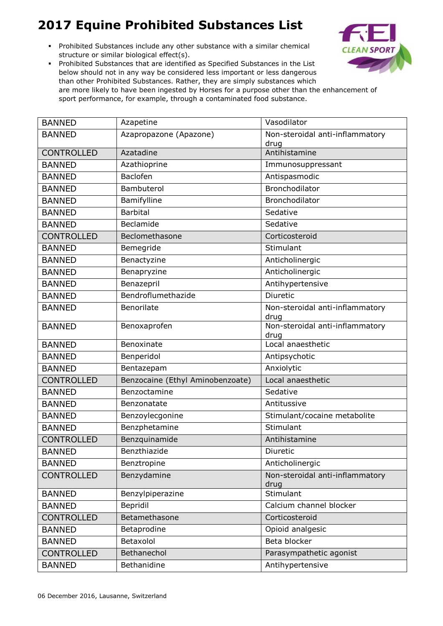Prohibited Substances include any other substance with a similar chemical structure or similar biological effect(s).



| <b>BANNED</b>     | Azapetine                        | Vasodilator                             |
|-------------------|----------------------------------|-----------------------------------------|
| <b>BANNED</b>     | Azapropazone (Apazone)           | Non-steroidal anti-inflammatory         |
|                   |                                  | drug                                    |
| <b>CONTROLLED</b> | Azatadine                        | Antihistamine                           |
| <b>BANNED</b>     | Azathioprine                     | Immunosuppressant                       |
| <b>BANNED</b>     | Baclofen                         | Antispasmodic                           |
| <b>BANNED</b>     | Bambuterol                       | Bronchodilator                          |
| <b>BANNED</b>     | Bamifylline                      | Bronchodilator                          |
| <b>BANNED</b>     | <b>Barbital</b>                  | Sedative                                |
| <b>BANNED</b>     | Beclamide                        | Sedative                                |
| <b>CONTROLLED</b> | Beclomethasone                   | Corticosteroid                          |
| <b>BANNED</b>     | Bemegride                        | Stimulant                               |
| <b>BANNED</b>     | Benactyzine                      | Anticholinergic                         |
| <b>BANNED</b>     | Benapryzine                      | Anticholinergic                         |
| <b>BANNED</b>     | Benazepril                       | Antihypertensive                        |
| <b>BANNED</b>     | Bendroflumethazide               | Diuretic                                |
| <b>BANNED</b>     | Benorilate                       | Non-steroidal anti-inflammatory<br>drug |
| <b>BANNED</b>     | Benoxaprofen                     | Non-steroidal anti-inflammatory<br>drug |
| <b>BANNED</b>     | Benoxinate                       | Local anaesthetic                       |
| <b>BANNED</b>     | Benperidol                       | Antipsychotic                           |
| <b>BANNED</b>     | Bentazepam                       | Anxiolytic                              |
| <b>CONTROLLED</b> | Benzocaine (Ethyl Aminobenzoate) | Local anaesthetic                       |
| <b>BANNED</b>     | Benzoctamine                     | Sedative                                |
| <b>BANNED</b>     | Benzonatate                      | Antitussive                             |
| <b>BANNED</b>     | Benzoylecgonine                  | Stimulant/cocaine metabolite            |
| <b>BANNED</b>     | Benzphetamine                    | Stimulant                               |
| <b>CONTROLLED</b> | Benzquinamide                    | Antihistamine                           |
| <b>BANNED</b>     | Benzthiazide                     | Diuretic                                |
| <b>BANNED</b>     | Benztropine                      | Anticholinergic                         |
| <b>CONTROLLED</b> | Benzydamine                      | Non-steroidal anti-inflammatory<br>drug |
| <b>BANNED</b>     | Benzylpiperazine                 | Stimulant                               |
| <b>BANNED</b>     | Bepridil                         | Calcium channel blocker                 |
| <b>CONTROLLED</b> | Betamethasone                    | Corticosteroid                          |
| <b>BANNED</b>     | Betaprodine                      | Opioid analgesic                        |
| <b>BANNED</b>     | Betaxolol                        | Beta blocker                            |
| <b>CONTROLLED</b> | Bethanechol                      | Parasympathetic agonist                 |
| <b>BANNED</b>     | Bethanidine                      | Antihypertensive                        |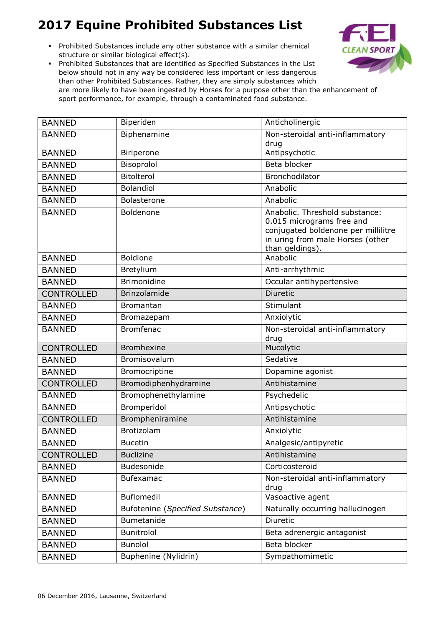Prohibited Substances include any other substance with a similar chemical structure or similar biological effect(s).



| <b>BANNED</b>     | Biperiden                        | Anticholinergic                                                                                                                                           |
|-------------------|----------------------------------|-----------------------------------------------------------------------------------------------------------------------------------------------------------|
| <b>BANNED</b>     | Biphenamine                      | Non-steroidal anti-inflammatory                                                                                                                           |
|                   |                                  | drug                                                                                                                                                      |
| <b>BANNED</b>     | Biriperone                       | Antipsychotic                                                                                                                                             |
| <b>BANNED</b>     | Bisoprolol                       | Beta blocker                                                                                                                                              |
| <b>BANNED</b>     | Bitolterol                       | Bronchodilator                                                                                                                                            |
| <b>BANNED</b>     | <b>Bolandiol</b>                 | Anabolic                                                                                                                                                  |
| <b>BANNED</b>     | <b>Bolasterone</b>               | Anabolic                                                                                                                                                  |
| <b>BANNED</b>     | Boldenone                        | Anabolic. Threshold substance:<br>0.015 micrograms free and<br>conjugated boldenone per millilitre<br>in uring from male Horses (other<br>than geldings). |
| <b>BANNED</b>     | <b>Boldione</b>                  | Anabolic                                                                                                                                                  |
| <b>BANNED</b>     | Bretylium                        | Anti-arrhythmic                                                                                                                                           |
| <b>BANNED</b>     | <b>Brimonidine</b>               | Occular antihypertensive                                                                                                                                  |
| <b>CONTROLLED</b> | Brinzolamide                     | <b>Diuretic</b>                                                                                                                                           |
| <b>BANNED</b>     | <b>Bromantan</b>                 | Stimulant                                                                                                                                                 |
| <b>BANNED</b>     | Bromazepam                       | Anxiolytic                                                                                                                                                |
| <b>BANNED</b>     | <b>Bromfenac</b>                 | Non-steroidal anti-inflammatory<br>drug                                                                                                                   |
| <b>CONTROLLED</b> | <b>Bromhexine</b>                | Mucolytic                                                                                                                                                 |
| <b>BANNED</b>     | Bromisovalum                     | Sedative                                                                                                                                                  |
| <b>BANNED</b>     | Bromocriptine                    | Dopamine agonist                                                                                                                                          |
| <b>CONTROLLED</b> | Bromodiphenhydramine             | Antihistamine                                                                                                                                             |
| <b>BANNED</b>     | Bromophenethylamine              | Psychedelic                                                                                                                                               |
| <b>BANNED</b>     | Bromperidol                      | Antipsychotic                                                                                                                                             |
| <b>CONTROLLED</b> | Brompheniramine                  | Antihistamine                                                                                                                                             |
| <b>BANNED</b>     | Brotizolam                       | Anxiolytic                                                                                                                                                |
| <b>BANNED</b>     | <b>Bucetin</b>                   | Analgesic/antipyretic                                                                                                                                     |
| <b>CONTROLLED</b> | <b>Buclizine</b>                 | Antihistamine                                                                                                                                             |
| <b>BANNED</b>     | Budesonide                       | Corticosteroid                                                                                                                                            |
| <b>BANNED</b>     | Bufexamac                        | Non-steroidal anti-inflammatory<br>drug                                                                                                                   |
| <b>BANNED</b>     | Buflomedil                       | Vasoactive agent                                                                                                                                          |
| <b>BANNED</b>     | Bufotenine (Specified Substance) | Naturally occurring hallucinogen                                                                                                                          |
| <b>BANNED</b>     | Bumetanide                       | Diuretic                                                                                                                                                  |
| <b>BANNED</b>     | Bunitrolol                       | Beta adrenergic antagonist                                                                                                                                |
| <b>BANNED</b>     | <b>Bunolol</b>                   | Beta blocker                                                                                                                                              |
| <b>BANNED</b>     | Buphenine (Nylidrin)             | Sympathomimetic                                                                                                                                           |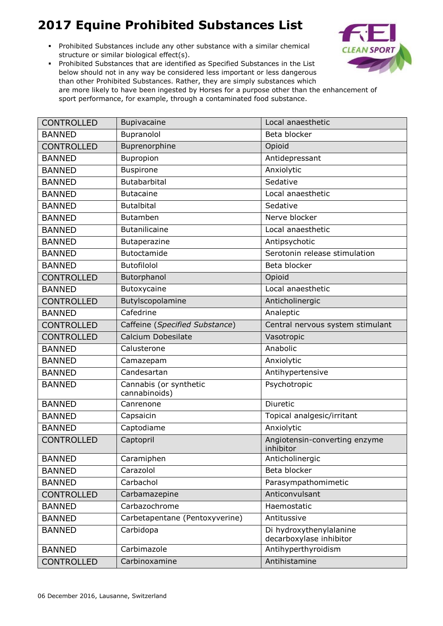Prohibited Substances include any other substance with a similar chemical structure or similar biological effect(s).



| <b>CONTROLLED</b> | Bupivacaine                             | Local anaesthetic                                  |
|-------------------|-----------------------------------------|----------------------------------------------------|
| <b>BANNED</b>     | Bupranolol                              | Beta blocker                                       |
| <b>CONTROLLED</b> | Buprenorphine                           | Opioid                                             |
| <b>BANNED</b>     | Bupropion                               | Antidepressant                                     |
| <b>BANNED</b>     | <b>Buspirone</b>                        | Anxiolytic                                         |
| <b>BANNED</b>     | Butabarbital                            | Sedative                                           |
| <b>BANNED</b>     | <b>Butacaine</b>                        | Local anaesthetic                                  |
| <b>BANNED</b>     | <b>Butalbital</b>                       | Sedative                                           |
| <b>BANNED</b>     | <b>Butamben</b>                         | Nerve blocker                                      |
| <b>BANNED</b>     | <b>Butanilicaine</b>                    | Local anaesthetic                                  |
| <b>BANNED</b>     | Butaperazine                            | Antipsychotic                                      |
| <b>BANNED</b>     | Butoctamide                             | Serotonin release stimulation                      |
| <b>BANNED</b>     | <b>Butofilolol</b>                      | Beta blocker                                       |
| <b>CONTROLLED</b> | Butorphanol                             | Opioid                                             |
| <b>BANNED</b>     | Butoxycaine                             | Local anaesthetic                                  |
| <b>CONTROLLED</b> | Butylscopolamine                        | Anticholinergic                                    |
| <b>BANNED</b>     | Cafedrine                               | Analeptic                                          |
| <b>CONTROLLED</b> | Caffeine (Specified Substance)          | Central nervous system stimulant                   |
| <b>CONTROLLED</b> | Calcium Dobesilate                      | Vasotropic                                         |
| <b>BANNED</b>     | Calusterone                             | Anabolic                                           |
| <b>BANNED</b>     | Camazepam                               | Anxiolytic                                         |
| <b>BANNED</b>     | Candesartan                             | Antihypertensive                                   |
| <b>BANNED</b>     | Cannabis (or synthetic<br>cannabinoids) | Psychotropic                                       |
| <b>BANNED</b>     | Canrenone                               | Diuretic                                           |
| <b>BANNED</b>     | Capsaicin                               | Topical analgesic/irritant                         |
| <b>BANNED</b>     | Captodiame                              | Anxiolytic                                         |
| <b>CONTROLLED</b> | Captopril                               | Angiotensin-converting enzyme<br>inhibitor         |
| <b>BANNED</b>     | Caramiphen                              | Anticholinergic                                    |
| <b>BANNED</b>     | Carazolol                               | Beta blocker                                       |
| <b>BANNED</b>     | Carbachol                               | Parasympathomimetic                                |
| <b>CONTROLLED</b> | Carbamazepine                           | Anticonvulsant                                     |
| <b>BANNED</b>     | Carbazochrome                           | Haemostatic                                        |
| <b>BANNED</b>     | Carbetapentane (Pentoxyverine)          | Antitussive                                        |
| <b>BANNED</b>     | Carbidopa                               | Di hydroxythenylalanine<br>decarboxylase inhibitor |
| <b>BANNED</b>     | Carbimazole                             | Antihyperthyroidism                                |
| CONTROLLED        | Carbinoxamine                           | Antihistamine                                      |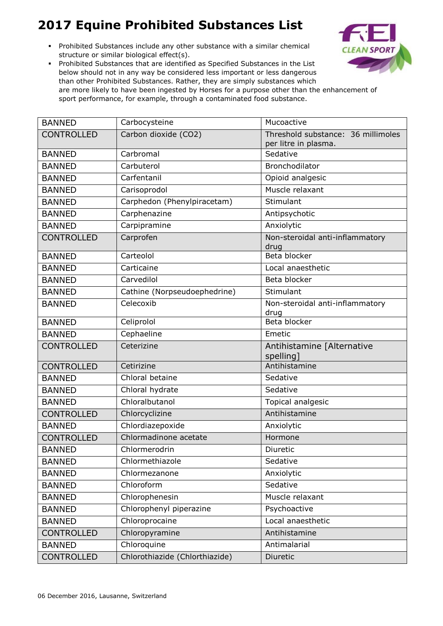Prohibited Substances include any other substance with a similar chemical structure or similar biological effect(s).



| <b>BANNED</b>     | Carbocysteine                  | Mucoactive                                                 |
|-------------------|--------------------------------|------------------------------------------------------------|
| <b>CONTROLLED</b> | Carbon dioxide (CO2)           | Threshold substance: 36 millimoles<br>per litre in plasma. |
| <b>BANNED</b>     | Carbromal                      | Sedative                                                   |
| <b>BANNED</b>     | Carbuterol                     | Bronchodilator                                             |
| <b>BANNED</b>     | Carfentanil                    | Opioid analgesic                                           |
| <b>BANNED</b>     | Carisoprodol                   | Muscle relaxant                                            |
| <b>BANNED</b>     | Carphedon (Phenylpiracetam)    | Stimulant                                                  |
| <b>BANNED</b>     | Carphenazine                   | Antipsychotic                                              |
| <b>BANNED</b>     | Carpipramine                   | Anxiolytic                                                 |
| <b>CONTROLLED</b> | Carprofen                      | Non-steroidal anti-inflammatory<br>drug                    |
| <b>BANNED</b>     | Carteolol                      | Beta blocker                                               |
| <b>BANNED</b>     | Carticaine                     | Local anaesthetic                                          |
| <b>BANNED</b>     | Carvedilol                     | Beta blocker                                               |
| <b>BANNED</b>     | Cathine (Norpseudoephedrine)   | Stimulant                                                  |
| <b>BANNED</b>     | Celecoxib                      | Non-steroidal anti-inflammatory<br>drug                    |
| <b>BANNED</b>     | Celiprolol                     | Beta blocker                                               |
| <b>BANNED</b>     | Cephaeline                     | Emetic                                                     |
| <b>CONTROLLED</b> | Ceterizine                     | Antihistamine [Alternative<br>spelling]                    |
| <b>CONTROLLED</b> | Cetirizine                     | Antihistamine                                              |
| <b>BANNED</b>     | Chloral betaine                | Sedative                                                   |
| <b>BANNED</b>     | Chloral hydrate                | Sedative                                                   |
| <b>BANNED</b>     | Chloralbutanol                 | Topical analgesic                                          |
| <b>CONTROLLED</b> | Chlorcyclizine                 | Antihistamine                                              |
| <b>BANNED</b>     | Chlordiazepoxide               | Anxiolytic                                                 |
| <b>CONTROLLED</b> | Chlormadinone acetate          | Hormone                                                    |
| <b>BANNED</b>     | Chlormerodrin                  | Diuretic                                                   |
| <b>BANNED</b>     | Chlormethiazole                | Sedative                                                   |
| <b>BANNED</b>     | Chlormezanone                  | Anxiolytic                                                 |
| <b>BANNED</b>     | Chloroform                     | Sedative                                                   |
| <b>BANNED</b>     | Chlorophenesin                 | Muscle relaxant                                            |
| <b>BANNED</b>     | Chlorophenyl piperazine        | Psychoactive                                               |
| <b>BANNED</b>     | Chloroprocaine                 | Local anaesthetic                                          |
| <b>CONTROLLED</b> | Chloropyramine                 | Antihistamine                                              |
| <b>BANNED</b>     | Chloroquine                    | Antimalarial                                               |
| <b>CONTROLLED</b> | Chlorothiazide (Chlorthiazide) | Diuretic                                                   |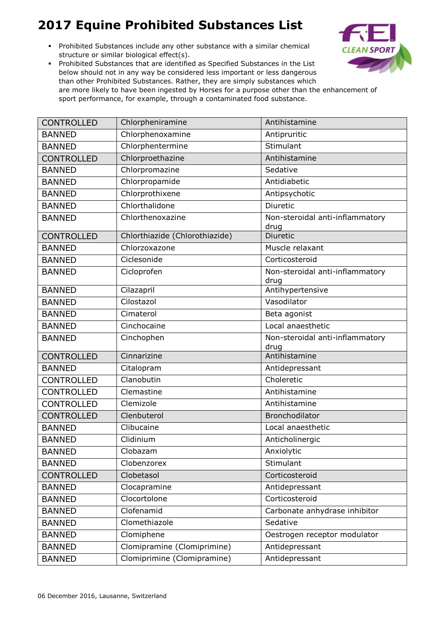Prohibited Substances include any other substance with a similar chemical structure or similar biological effect(s).



| <b>CONTROLLED</b> | Chlorpheniramine               | Antihistamine                           |
|-------------------|--------------------------------|-----------------------------------------|
| <b>BANNED</b>     | Chlorphenoxamine               | Antipruritic                            |
| <b>BANNED</b>     | Chlorphentermine               | Stimulant                               |
| <b>CONTROLLED</b> | Chlorproethazine               | Antihistamine                           |
| <b>BANNED</b>     | Chlorpromazine                 | Sedative                                |
| <b>BANNED</b>     | Chlorpropamide                 | Antidiabetic                            |
| <b>BANNED</b>     | Chlorprothixene                | Antipsychotic                           |
| <b>BANNED</b>     | Chlorthalidone                 | Diuretic                                |
| <b>BANNED</b>     | Chlorthenoxazine               | Non-steroidal anti-inflammatory<br>drug |
| <b>CONTROLLED</b> | Chlorthiazide (Chlorothiazide) | Diuretic                                |
| <b>BANNED</b>     | Chlorzoxazone                  | Muscle relaxant                         |
| <b>BANNED</b>     | Ciclesonide                    | Corticosteroid                          |
| <b>BANNED</b>     | Cicloprofen                    | Non-steroidal anti-inflammatory<br>drug |
| <b>BANNED</b>     | Cilazapril                     | Antihypertensive                        |
| <b>BANNED</b>     | Cilostazol                     | Vasodilator                             |
| <b>BANNED</b>     | Cimaterol                      | Beta agonist                            |
| <b>BANNED</b>     | Cinchocaine                    | Local anaesthetic                       |
| <b>BANNED</b>     | Cinchophen                     | Non-steroidal anti-inflammatory<br>drug |
| <b>CONTROLLED</b> | Cinnarizine                    | Antihistamine                           |
| <b>BANNED</b>     | Citalopram                     | Antidepressant                          |
| <b>CONTROLLED</b> | Clanobutin                     | Choleretic                              |
| <b>CONTROLLED</b> | Clemastine                     | Antihistamine                           |
| <b>CONTROLLED</b> | Clemizole                      | Antihistamine                           |
| <b>CONTROLLED</b> | Clenbuterol                    | Bronchodilator                          |
| <b>BANNED</b>     | Clibucaine                     | Local anaesthetic                       |
| <b>BANNED</b>     | Clidinium                      | Anticholinergic                         |
| <b>BANNED</b>     | Clobazam                       | Anxiolytic                              |
| <b>BANNED</b>     | Clobenzorex                    | Stimulant                               |
| <b>CONTROLLED</b> | Clobetasol                     | Corticosteroid                          |
| <b>BANNED</b>     | Clocapramine                   | Antidepressant                          |
| <b>BANNED</b>     | Clocortolone                   | Corticosteroid                          |
| <b>BANNED</b>     | Clofenamid                     | Carbonate anhydrase inhibitor           |
| <b>BANNED</b>     | Clomethiazole                  | Sedative                                |
| <b>BANNED</b>     | Clomiphene                     | Oestrogen receptor modulator            |
| <b>BANNED</b>     | Clomipramine (Clomiprimine)    | Antidepressant                          |
| <b>BANNED</b>     | Clomiprimine (Clomipramine)    | Antidepressant                          |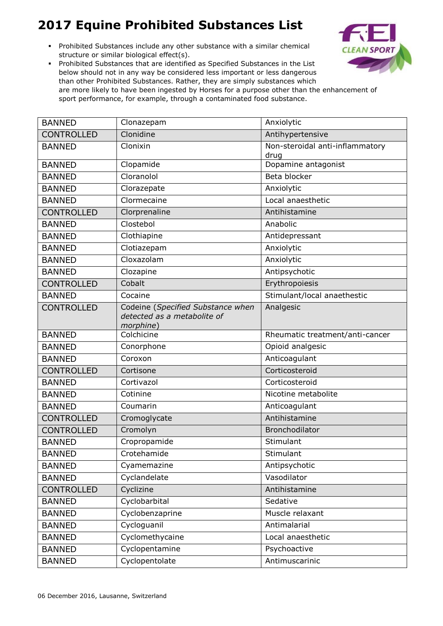Prohibited Substances include any other substance with a similar chemical structure or similar biological effect(s).



| <b>BANNED</b>     | Clonazepam                                                                    | Anxiolytic                              |
|-------------------|-------------------------------------------------------------------------------|-----------------------------------------|
| <b>CONTROLLED</b> | Clonidine                                                                     | Antihypertensive                        |
| <b>BANNED</b>     | Clonixin                                                                      | Non-steroidal anti-inflammatory<br>drug |
| <b>BANNED</b>     | Clopamide                                                                     | Dopamine antagonist                     |
| <b>BANNED</b>     | Cloranolol                                                                    | Beta blocker                            |
| <b>BANNED</b>     | Clorazepate                                                                   | Anxiolytic                              |
| <b>BANNED</b>     | Clormecaine                                                                   | Local anaesthetic                       |
| <b>CONTROLLED</b> | Clorprenaline                                                                 | Antihistamine                           |
| <b>BANNED</b>     | Clostebol                                                                     | Anabolic                                |
| <b>BANNED</b>     | Clothiapine                                                                   | Antidepressant                          |
| <b>BANNED</b>     | Clotiazepam                                                                   | Anxiolytic                              |
| <b>BANNED</b>     | Cloxazolam                                                                    | Anxiolytic                              |
| <b>BANNED</b>     | Clozapine                                                                     | Antipsychotic                           |
| <b>CONTROLLED</b> | Cobalt                                                                        | Erythropoiesis                          |
| <b>BANNED</b>     | Cocaine                                                                       | Stimulant/local anaethestic             |
| <b>CONTROLLED</b> | Codeine (Specified Substance when<br>detected as a metabolite of<br>morphine) | Analgesic                               |
| <b>BANNED</b>     | Colchicine                                                                    | Rheumatic treatment/anti-cancer         |
| <b>BANNED</b>     | Conorphone                                                                    | Opioid analgesic                        |
| <b>BANNED</b>     | Coroxon                                                                       | Anticoagulant                           |
| <b>CONTROLLED</b> | Cortisone                                                                     | Corticosteroid                          |
| <b>BANNED</b>     | Cortivazol                                                                    | Corticosteroid                          |
| <b>BANNED</b>     | Cotinine                                                                      | Nicotine metabolite                     |
| <b>BANNED</b>     | Coumarin                                                                      | Anticoagulant                           |
| <b>CONTROLLED</b> | Cromoglycate                                                                  | Antihistamine                           |
| <b>CONTROLLED</b> | Cromolyn                                                                      | Bronchodilator                          |
| <b>BANNED</b>     | Cropropamide                                                                  | Stimulant                               |
| <b>BANNED</b>     | Crotehamide                                                                   | Stimulant                               |
| <b>BANNED</b>     | Cyamemazine                                                                   | Antipsychotic                           |
| <b>BANNED</b>     | Cyclandelate                                                                  | Vasodilator                             |
| <b>CONTROLLED</b> | Cyclizine                                                                     | Antihistamine                           |
| <b>BANNED</b>     | Cyclobarbital                                                                 | Sedative                                |
| <b>BANNED</b>     | Cyclobenzaprine                                                               | Muscle relaxant                         |
| <b>BANNED</b>     | Cycloguanil                                                                   | Antimalarial                            |
| <b>BANNED</b>     | Cyclomethycaine                                                               | Local anaesthetic                       |
| <b>BANNED</b>     | Cyclopentamine                                                                | Psychoactive                            |
| <b>BANNED</b>     | Cyclopentolate                                                                | Antimuscarinic                          |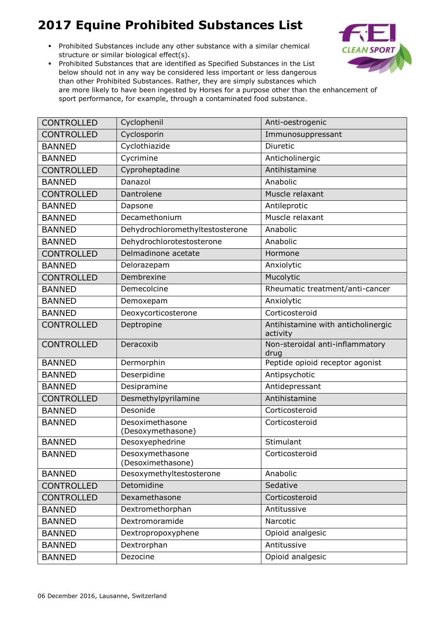Prohibited Substances include any other substance with a similar chemical structure or similar biological effect(s).



| <b>CONTROLLED</b> | Cyclophenil                          | Anti-oestrogenic                               |
|-------------------|--------------------------------------|------------------------------------------------|
| <b>CONTROLLED</b> | Cyclosporin                          | Immunosuppressant                              |
| <b>BANNED</b>     | Cyclothiazide                        | Diuretic                                       |
| <b>BANNED</b>     | Cycrimine                            | Anticholinergic                                |
| <b>CONTROLLED</b> | Cyproheptadine                       | Antihistamine                                  |
| <b>BANNED</b>     | Danazol                              | Anabolic                                       |
| <b>CONTROLLED</b> | Dantrolene                           | Muscle relaxant                                |
| <b>BANNED</b>     | Dapsone                              | Antileprotic                                   |
| <b>BANNED</b>     | Decamethonium                        | Muscle relaxant                                |
| <b>BANNED</b>     | Dehydrochloromethyltestosterone      | Anabolic                                       |
| <b>BANNED</b>     | Dehydrochlorotestosterone            | Anabolic                                       |
| <b>CONTROLLED</b> | Delmadinone acetate                  | Hormone                                        |
| <b>BANNED</b>     | Delorazepam                          | Anxiolytic                                     |
| <b>CONTROLLED</b> | Dembrexine                           | Mucolytic                                      |
| <b>BANNED</b>     | Demecolcine                          | Rheumatic treatment/anti-cancer                |
| <b>BANNED</b>     | Demoxepam                            | Anxiolytic                                     |
| <b>BANNED</b>     | Deoxycorticosterone                  | Corticosteroid                                 |
| <b>CONTROLLED</b> | Deptropine                           | Antihistamine with anticholinergic<br>activity |
| <b>CONTROLLED</b> | Deracoxib                            | Non-steroidal anti-inflammatory<br>drug        |
| <b>BANNED</b>     | Dermorphin                           | Peptide opioid receptor agonist                |
| <b>BANNED</b>     | Deserpidine                          | Antipsychotic                                  |
| <b>BANNED</b>     | Desipramine                          | Antidepressant                                 |
| <b>CONTROLLED</b> | Desmethylpyrilamine                  | Antihistamine                                  |
| <b>BANNED</b>     | Desonide                             | Corticosteroid                                 |
| <b>BANNED</b>     | Desoximethasone<br>(Desoxymethasone) | Corticosteroid                                 |
| <b>BANNED</b>     | Desoxyephedrine                      | Stimulant                                      |
| <b>BANNED</b>     | Desoxymethasone<br>(Desoximethasone) | Corticosteroid                                 |
| <b>BANNED</b>     | Desoxymethyltestosterone             | Anabolic                                       |
| <b>CONTROLLED</b> | Detomidine                           | Sedative                                       |
| <b>CONTROLLED</b> | Dexamethasone                        | Corticosteroid                                 |
| <b>BANNED</b>     | Dextromethorphan                     | Antitussive                                    |
| <b>BANNED</b>     | Dextromoramide                       | Narcotic                                       |
| <b>BANNED</b>     | Dextropropoxyphene                   | Opioid analgesic                               |
| <b>BANNED</b>     | Dextrorphan                          | Antitussive                                    |
| <b>BANNED</b>     | Dezocine                             | Opioid analgesic                               |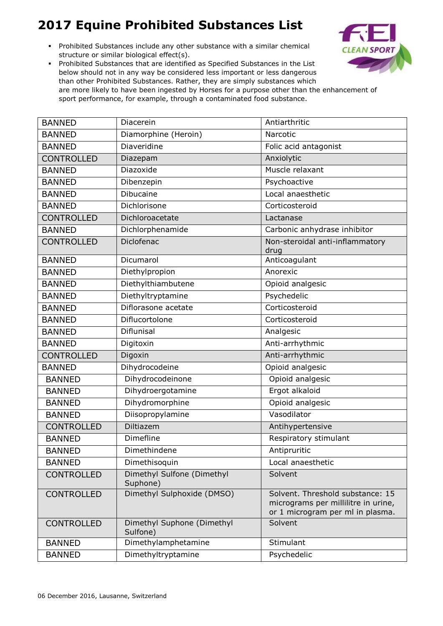Prohibited Substances include any other substance with a similar chemical structure or similar biological effect(s).



| <b>BANNED</b>     | Diacerein                              | Antiarthritic                                                                                               |
|-------------------|----------------------------------------|-------------------------------------------------------------------------------------------------------------|
| <b>BANNED</b>     | Diamorphine (Heroin)                   | Narcotic                                                                                                    |
| <b>BANNED</b>     | Diaveridine                            | Folic acid antagonist                                                                                       |
| <b>CONTROLLED</b> | Diazepam                               | Anxiolytic                                                                                                  |
| <b>BANNED</b>     | Diazoxide                              | Muscle relaxant                                                                                             |
| <b>BANNED</b>     | Dibenzepin                             | Psychoactive                                                                                                |
| <b>BANNED</b>     | Dibucaine                              | Local anaesthetic                                                                                           |
| <b>BANNED</b>     | Dichlorisone                           | Corticosteroid                                                                                              |
| <b>CONTROLLED</b> | Dichloroacetate                        | Lactanase                                                                                                   |
| <b>BANNED</b>     | Dichlorphenamide                       | Carbonic anhydrase inhibitor                                                                                |
| <b>CONTROLLED</b> | Diclofenac                             | Non-steroidal anti-inflammatory<br>drug                                                                     |
| <b>BANNED</b>     | Dicumarol                              | Anticoagulant                                                                                               |
| <b>BANNED</b>     | Diethylpropion                         | Anorexic                                                                                                    |
| <b>BANNED</b>     | Diethylthiambutene                     | Opioid analgesic                                                                                            |
| <b>BANNED</b>     | Diethyltryptamine                      | Psychedelic                                                                                                 |
| <b>BANNED</b>     | Diflorasone acetate                    | Corticosteroid                                                                                              |
| <b>BANNED</b>     | Diflucortolone                         | Corticosteroid                                                                                              |
| <b>BANNED</b>     | <b>Diflunisal</b>                      | Analgesic                                                                                                   |
| <b>BANNED</b>     | Digitoxin                              | Anti-arrhythmic                                                                                             |
| <b>CONTROLLED</b> | Digoxin                                | Anti-arrhythmic                                                                                             |
| <b>BANNED</b>     | Dihydrocodeine                         | Opioid analgesic                                                                                            |
| <b>BANNED</b>     | Dihydrocodeinone                       | Opioid analgesic                                                                                            |
| <b>BANNED</b>     | Dihydroergotamine                      | Ergot alkaloid                                                                                              |
| <b>BANNED</b>     | Dihydromorphine                        | Opioid analgesic                                                                                            |
| <b>BANNED</b>     | Diisopropylamine                       | Vasodilator                                                                                                 |
| <b>CONTROLLED</b> | Diltiazem                              | Antihypertensive                                                                                            |
| <b>BANNED</b>     | Dimefline                              | Respiratory stimulant                                                                                       |
| <b>BANNED</b>     | Dimethindene                           | Antipruritic                                                                                                |
| <b>BANNED</b>     | Dimethisoquin                          | Local anaesthetic                                                                                           |
| <b>CONTROLLED</b> | Dimethyl Sulfone (Dimethyl<br>Suphone) | Solvent                                                                                                     |
| <b>CONTROLLED</b> | Dimethyl Sulphoxide (DMSO)             | Solvent. Threshold substance: 15<br>micrograms per millilitre in urine,<br>or 1 microgram per ml in plasma. |
| <b>CONTROLLED</b> | Dimethyl Suphone (Dimethyl<br>Sulfone) | Solvent                                                                                                     |
| <b>BANNED</b>     | Dimethylamphetamine                    | Stimulant                                                                                                   |
| <b>BANNED</b>     | Dimethyltryptamine                     | Psychedelic                                                                                                 |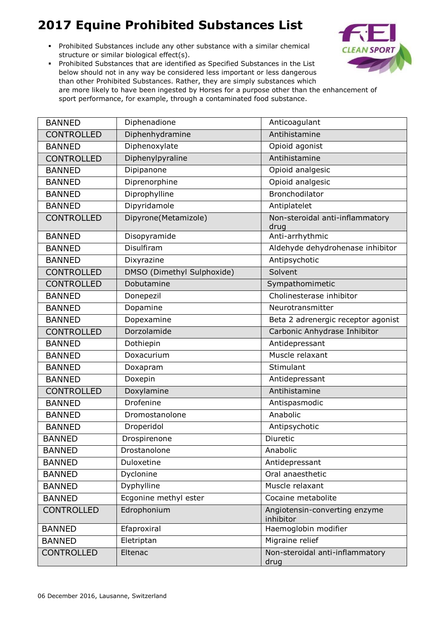Prohibited Substances include any other substance with a similar chemical structure or similar biological effect(s).



| <b>BANNED</b>     | Diphenadione               | Anticoagulant                              |
|-------------------|----------------------------|--------------------------------------------|
| <b>CONTROLLED</b> | Diphenhydramine            | Antihistamine                              |
| <b>BANNED</b>     | Diphenoxylate              | Opioid agonist                             |
| <b>CONTROLLED</b> | Diphenylpyraline           | Antihistamine                              |
| <b>BANNED</b>     | Dipipanone                 | Opioid analgesic                           |
| <b>BANNED</b>     | Diprenorphine              | Opioid analgesic                           |
| <b>BANNED</b>     | Diprophylline              | Bronchodilator                             |
| <b>BANNED</b>     | Dipyridamole               | Antiplatelet                               |
| <b>CONTROLLED</b> | Dipyrone(Metamizole)       | Non-steroidal anti-inflammatory<br>drug    |
| <b>BANNED</b>     | Disopyramide               | Anti-arrhythmic                            |
| <b>BANNED</b>     | Disulfiram                 | Aldehyde dehydrohenase inhibitor           |
| <b>BANNED</b>     | Dixyrazine                 | Antipsychotic                              |
| <b>CONTROLLED</b> | DMSO (Dimethyl Sulphoxide) | Solvent                                    |
| <b>CONTROLLED</b> | Dobutamine                 | Sympathomimetic                            |
| <b>BANNED</b>     | Donepezil                  | Cholinesterase inhibitor                   |
| <b>BANNED</b>     | Dopamine                   | Neurotransmitter                           |
| <b>BANNED</b>     | Dopexamine                 | Beta 2 adrenergic receptor agonist         |
| <b>CONTROLLED</b> | Dorzolamide                | Carbonic Anhydrase Inhibitor               |
| <b>BANNED</b>     | Dothiepin                  | Antidepressant                             |
| <b>BANNED</b>     | Doxacurium                 | Muscle relaxant                            |
| <b>BANNED</b>     | Doxapram                   | Stimulant                                  |
| <b>BANNED</b>     | Doxepin                    | Antidepressant                             |
| <b>CONTROLLED</b> | Doxylamine                 | Antihistamine                              |
| <b>BANNED</b>     | Drofenine                  | Antispasmodic                              |
| <b>BANNED</b>     | Dromostanolone             | Anabolic                                   |
| <b>BANNED</b>     | Droperidol                 | Antipsychotic                              |
| <b>BANNED</b>     | Drospirenone               | Diuretic                                   |
| <b>BANNED</b>     | Drostanolone               | Anabolic                                   |
| <b>BANNED</b>     | Duloxetine                 | Antidepressant                             |
| <b>BANNED</b>     | Dyclonine                  | Oral anaesthetic                           |
| <b>BANNED</b>     | Dyphylline                 | Muscle relaxant                            |
| <b>BANNED</b>     | Ecgonine methyl ester      | Cocaine metabolite                         |
| <b>CONTROLLED</b> | Edrophonium                | Angiotensin-converting enzyme<br>inhibitor |
| <b>BANNED</b>     | Efaproxiral                | Haemoglobin modifier                       |
| <b>BANNED</b>     | Eletriptan                 | Migraine relief                            |
| <b>CONTROLLED</b> | Eltenac                    | Non-steroidal anti-inflammatory<br>drug    |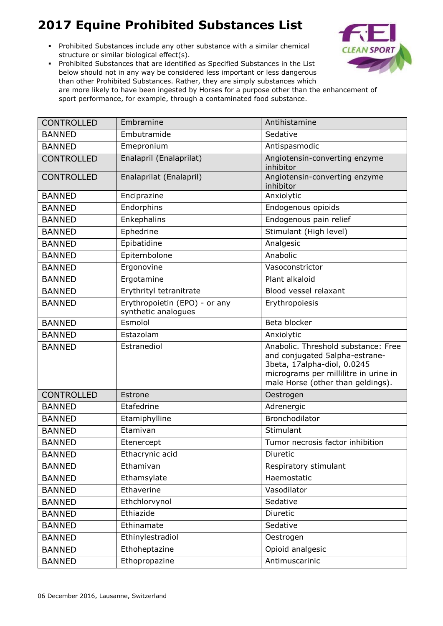Prohibited Substances include any other substance with a similar chemical structure or similar biological effect(s).



| <b>CONTROLLED</b> | Embramine                                            | Antihistamine                                                                                                                                                                      |
|-------------------|------------------------------------------------------|------------------------------------------------------------------------------------------------------------------------------------------------------------------------------------|
| <b>BANNED</b>     | Embutramide                                          | Sedative                                                                                                                                                                           |
| <b>BANNED</b>     | Emepronium                                           | Antispasmodic                                                                                                                                                                      |
| <b>CONTROLLED</b> | Enalapril (Enalaprilat)                              | Angiotensin-converting enzyme<br>inhibitor                                                                                                                                         |
| <b>CONTROLLED</b> | Enalaprilat (Enalapril)                              | Angiotensin-converting enzyme<br>inhibitor                                                                                                                                         |
| <b>BANNED</b>     | Enciprazine                                          | Anxiolytic                                                                                                                                                                         |
| <b>BANNED</b>     | Endorphins                                           | Endogenous opioids                                                                                                                                                                 |
| <b>BANNED</b>     | Enkephalins                                          | Endogenous pain relief                                                                                                                                                             |
| <b>BANNED</b>     | Ephedrine                                            | Stimulant (High level)                                                                                                                                                             |
| <b>BANNED</b>     | Epibatidine                                          | Analgesic                                                                                                                                                                          |
| <b>BANNED</b>     | Epiternbolone                                        | Anabolic                                                                                                                                                                           |
| <b>BANNED</b>     | Ergonovine                                           | Vasoconstrictor                                                                                                                                                                    |
| <b>BANNED</b>     | Ergotamine                                           | Plant alkaloid                                                                                                                                                                     |
| <b>BANNED</b>     | Erythrityl tetranitrate                              | Blood vessel relaxant                                                                                                                                                              |
| <b>BANNED</b>     | Erythropoietin (EPO) - or any<br>synthetic analogues | Erythropoiesis                                                                                                                                                                     |
| <b>BANNED</b>     | Esmolol                                              | Beta blocker                                                                                                                                                                       |
| <b>BANNED</b>     | Estazolam                                            | Anxiolytic                                                                                                                                                                         |
| <b>BANNED</b>     | Estranediol                                          | Anabolic. Threshold substance: Free<br>and conjugated 5alpha-estrane-<br>3beta, 17alpha-diol, 0.0245<br>micrograms per millilitre in urine in<br>male Horse (other than geldings). |
| <b>CONTROLLED</b> | Estrone                                              | Oestrogen                                                                                                                                                                          |
| <b>BANNED</b>     | Etafedrine                                           | Adrenergic                                                                                                                                                                         |
| <b>BANNED</b>     | Etamiphylline                                        | Bronchodilator                                                                                                                                                                     |
| <b>BANNED</b>     | Etamivan                                             | Stimulant                                                                                                                                                                          |
| <b>BANNED</b>     | Etenercept                                           | Tumor necrosis factor inhibition                                                                                                                                                   |
| <b>BANNED</b>     | Ethacrynic acid                                      | Diuretic                                                                                                                                                                           |
| <b>BANNED</b>     | Ethamivan                                            | Respiratory stimulant                                                                                                                                                              |
| <b>BANNED</b>     | Ethamsylate                                          | Haemostatic                                                                                                                                                                        |
| <b>BANNED</b>     | Ethaverine                                           | Vasodilator                                                                                                                                                                        |
| <b>BANNED</b>     | Ethchlorvynol                                        | Sedative                                                                                                                                                                           |
| <b>BANNED</b>     | Ethiazide                                            | Diuretic                                                                                                                                                                           |
| <b>BANNED</b>     | Ethinamate                                           | Sedative                                                                                                                                                                           |
| <b>BANNED</b>     | Ethinylestradiol                                     | Oestrogen                                                                                                                                                                          |
| <b>BANNED</b>     | Ethoheptazine                                        | Opioid analgesic                                                                                                                                                                   |
| <b>BANNED</b>     | Ethopropazine                                        | Antimuscarinic                                                                                                                                                                     |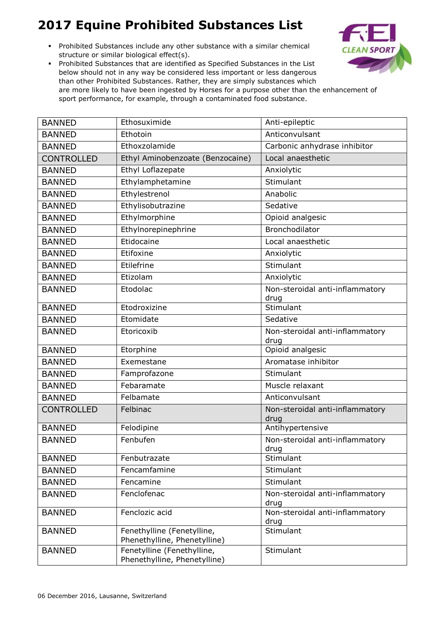Prohibited Substances include any other substance with a similar chemical structure or similar biological effect(s).



| <b>BANNED</b>     | Ethosuximide                                               | Anti-epileptic                          |
|-------------------|------------------------------------------------------------|-----------------------------------------|
| <b>BANNED</b>     | Ethotoin                                                   | Anticonvulsant                          |
| <b>BANNED</b>     | Ethoxzolamide                                              | Carbonic anhydrase inhibitor            |
| <b>CONTROLLED</b> | Ethyl Aminobenzoate (Benzocaine)                           | Local anaesthetic                       |
| <b>BANNED</b>     | Ethyl Loflazepate                                          | Anxiolytic                              |
| <b>BANNED</b>     | Ethylamphetamine                                           | Stimulant                               |
| <b>BANNED</b>     | Ethylestrenol                                              | Anabolic                                |
| <b>BANNED</b>     | Ethylisobutrazine                                          | Sedative                                |
| <b>BANNED</b>     | Ethylmorphine                                              | Opioid analgesic                        |
| <b>BANNED</b>     | Ethylnorepinephrine                                        | Bronchodilator                          |
| <b>BANNED</b>     | Etidocaine                                                 | Local anaesthetic                       |
| <b>BANNED</b>     | Etifoxine                                                  | Anxiolytic                              |
| <b>BANNED</b>     | Etilefrine                                                 | Stimulant                               |
| <b>BANNED</b>     | Etizolam                                                   | Anxiolytic                              |
| <b>BANNED</b>     | Etodolac                                                   | Non-steroidal anti-inflammatory<br>drug |
| <b>BANNED</b>     | Etodroxizine                                               | Stimulant                               |
| <b>BANNED</b>     | Etomidate                                                  | Sedative                                |
| <b>BANNED</b>     | Etoricoxib                                                 | Non-steroidal anti-inflammatory<br>drug |
| <b>BANNED</b>     | Etorphine                                                  | Opioid analgesic                        |
| <b>BANNED</b>     | Exemestane                                                 | Aromatase inhibitor                     |
| <b>BANNED</b>     | Famprofazone                                               | Stimulant                               |
| <b>BANNED</b>     | Febaramate                                                 | Muscle relaxant                         |
| <b>BANNED</b>     | Felbamate                                                  | Anticonvulsant                          |
| <b>CONTROLLED</b> | Felbinac                                                   | Non-steroidal anti-inflammatory<br>drug |
| <b>BANNED</b>     | Felodipine                                                 | Antihypertensive                        |
| <b>BANNED</b>     | Fenbufen                                                   | Non-steroidal anti-inflammatory<br>drug |
| <b>BANNED</b>     | Fenbutrazate                                               | Stimulant                               |
| <b>BANNED</b>     | Fencamfamine                                               | Stimulant                               |
| <b>BANNED</b>     | Fencamine                                                  | Stimulant                               |
| <b>BANNED</b>     | Fenclofenac                                                | Non-steroidal anti-inflammatory<br>drug |
| <b>BANNED</b>     | Fenclozic acid                                             | Non-steroidal anti-inflammatory<br>drug |
| <b>BANNED</b>     | Fenethylline (Fenetylline,<br>Phenethylline, Phenetylline) | Stimulant                               |
| <b>BANNED</b>     | Fenetylline (Fenethylline,<br>Phenethylline, Phenetylline) | Stimulant                               |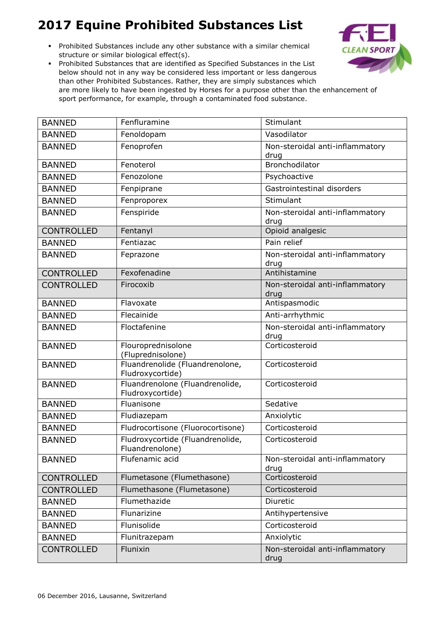Prohibited Substances include any other substance with a similar chemical structure or similar biological effect(s).



| <b>BANNED</b>     | Fenfluramine                                        | Stimulant                               |
|-------------------|-----------------------------------------------------|-----------------------------------------|
| <b>BANNED</b>     | Fenoldopam                                          | Vasodilator                             |
| <b>BANNED</b>     | Fenoprofen                                          | Non-steroidal anti-inflammatory<br>drug |
| <b>BANNED</b>     | Fenoterol                                           | Bronchodilator                          |
| <b>BANNED</b>     | Fenozolone                                          | Psychoactive                            |
| <b>BANNED</b>     | Fenpiprane                                          | Gastrointestinal disorders              |
| <b>BANNED</b>     | Fenproporex                                         | Stimulant                               |
| <b>BANNED</b>     | Fenspiride                                          | Non-steroidal anti-inflammatory<br>drug |
| <b>CONTROLLED</b> | Fentanyl                                            | Opioid analgesic                        |
| <b>BANNED</b>     | Fentiazac                                           | Pain relief                             |
| <b>BANNED</b>     | Feprazone                                           | Non-steroidal anti-inflammatory<br>drug |
| <b>CONTROLLED</b> | Fexofenadine                                        | Antihistamine                           |
| <b>CONTROLLED</b> | Firocoxib                                           | Non-steroidal anti-inflammatory<br>drug |
| <b>BANNED</b>     | Flavoxate                                           | Antispasmodic                           |
| <b>BANNED</b>     | Flecainide                                          | Anti-arrhythmic                         |
| <b>BANNED</b>     | Floctafenine                                        | Non-steroidal anti-inflammatory<br>drug |
| <b>BANNED</b>     | Flouroprednisolone<br>(Fluprednisolone)             | Corticosteroid                          |
| <b>BANNED</b>     | Fluandrenolide (Fluandrenolone,<br>Fludroxycortide) | Corticosteroid                          |
| <b>BANNED</b>     | Fluandrenolone (Fluandrenolide,<br>Fludroxycortide) | Corticosteroid                          |
| <b>BANNED</b>     | Fluanisone                                          | Sedative                                |
| <b>BANNED</b>     | Fludiazepam                                         | Anxiolytic                              |
| <b>BANNED</b>     | Fludrocortisone (Fluorocortisone)                   | Corticosteroid                          |
| <b>BANNED</b>     | Fludroxycortide (Fluandrenolide,<br>Fluandrenolone) | Corticosteroid                          |
| <b>BANNED</b>     | Flufenamic acid                                     | Non-steroidal anti-inflammatory<br>drug |
| <b>CONTROLLED</b> | Flumetasone (Flumethasone)                          | Corticosteroid                          |
| <b>CONTROLLED</b> | Flumethasone (Flumetasone)                          | Corticosteroid                          |
| <b>BANNED</b>     | Flumethazide                                        | Diuretic                                |
| <b>BANNED</b>     | Flunarizine                                         | Antihypertensive                        |
| <b>BANNED</b>     | Flunisolide                                         | Corticosteroid                          |
| <b>BANNED</b>     | Flunitrazepam                                       | Anxiolytic                              |
| <b>CONTROLLED</b> | Flunixin                                            | Non-steroidal anti-inflammatory<br>drug |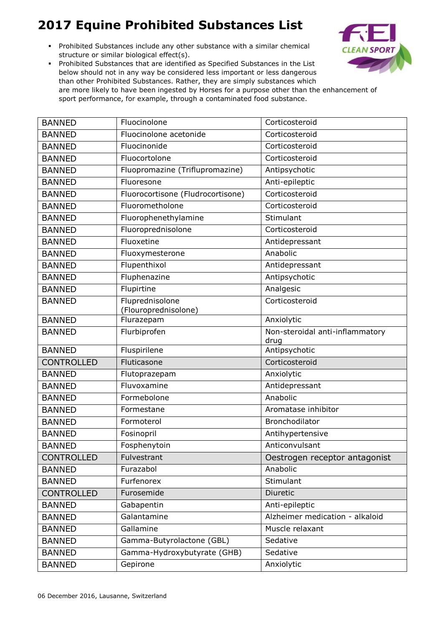Prohibited Substances include any other substance with a similar chemical structure or similar biological effect(s).



| <b>BANNED</b>     | Fluocinolone                            | Corticosteroid                          |
|-------------------|-----------------------------------------|-----------------------------------------|
| <b>BANNED</b>     | Fluocinolone acetonide                  | Corticosteroid                          |
| <b>BANNED</b>     | Fluocinonide                            | Corticosteroid                          |
| <b>BANNED</b>     | Fluocortolone                           | Corticosteroid                          |
| <b>BANNED</b>     | Fluopromazine (Triflupromazine)         | Antipsychotic                           |
| <b>BANNED</b>     | Fluoresone                              | Anti-epileptic                          |
| <b>BANNED</b>     | Fluorocortisone (Fludrocortisone)       | Corticosteroid                          |
| <b>BANNED</b>     | Fluorometholone                         | Corticosteroid                          |
| <b>BANNED</b>     | Fluorophenethylamine                    | Stimulant                               |
| <b>BANNED</b>     | Fluoroprednisolone                      | Corticosteroid                          |
| <b>BANNED</b>     | Fluoxetine                              | Antidepressant                          |
| <b>BANNED</b>     | Fluoxymesterone                         | Anabolic                                |
| <b>BANNED</b>     | Flupenthixol                            | Antidepressant                          |
| <b>BANNED</b>     | Fluphenazine                            | Antipsychotic                           |
| <b>BANNED</b>     | Flupirtine                              | Analgesic                               |
| <b>BANNED</b>     | Fluprednisolone<br>(Flouroprednisolone) | Corticosteroid                          |
| <b>BANNED</b>     | Flurazepam                              | Anxiolytic                              |
| <b>BANNED</b>     | Flurbiprofen                            | Non-steroidal anti-inflammatory<br>drug |
| <b>BANNED</b>     | Fluspirilene                            | Antipsychotic                           |
| <b>CONTROLLED</b> | Fluticasone                             | Corticosteroid                          |
| <b>BANNED</b>     | Flutoprazepam                           | Anxiolytic                              |
| <b>BANNED</b>     | Fluvoxamine                             | Antidepressant                          |
| <b>BANNED</b>     | Formebolone                             | Anabolic                                |
| <b>BANNED</b>     | Formestane                              | Aromatase inhibitor                     |
| <b>BANNED</b>     | Formoterol                              | Bronchodilator                          |
| <b>BANNED</b>     | Fosinopril                              | Antihypertensive                        |
| <b>BANNED</b>     | Fosphenytoin                            | Anticonvulsant                          |
| <b>CONTROLLED</b> | Fulvestrant                             | Oestrogen receptor antagonist           |
| <b>BANNED</b>     | Furazabol                               | Anabolic                                |
| <b>BANNED</b>     | Furfenorex                              | Stimulant                               |
| <b>CONTROLLED</b> | Furosemide                              | Diuretic                                |
| <b>BANNED</b>     | Gabapentin                              | Anti-epileptic                          |
| <b>BANNED</b>     | Galantamine                             | Alzheimer medication - alkaloid         |
| <b>BANNED</b>     | Gallamine                               | Muscle relaxant                         |
| <b>BANNED</b>     | Gamma-Butyrolactone (GBL)               | Sedative                                |
| <b>BANNED</b>     | Gamma-Hydroxybutyrate (GHB)             | Sedative                                |
| <b>BANNED</b>     | Gepirone                                | Anxiolytic                              |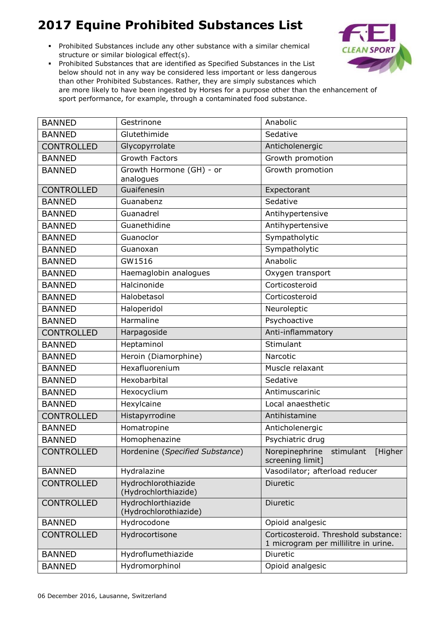Prohibited Substances include any other substance with a similar chemical structure or similar biological effect(s).



| <b>BANNED</b>     | Gestrinone                                  | Anabolic                                                   |
|-------------------|---------------------------------------------|------------------------------------------------------------|
| <b>BANNED</b>     | Glutethimide                                | Sedative                                                   |
| <b>CONTROLLED</b> | Glycopyrrolate                              | Anticholenergic                                            |
| <b>BANNED</b>     | <b>Growth Factors</b>                       | Growth promotion                                           |
| <b>BANNED</b>     | Growth Hormone (GH) - or                    | Growth promotion                                           |
|                   | analogues                                   |                                                            |
| <b>CONTROLLED</b> | Guaifenesin                                 | Expectorant                                                |
| <b>BANNED</b>     | Guanabenz                                   | Sedative                                                   |
| <b>BANNED</b>     | Guanadrel                                   | Antihypertensive                                           |
| <b>BANNED</b>     | Guanethidine                                | Antihypertensive                                           |
| <b>BANNED</b>     | Guanoclor                                   | Sympatholytic                                              |
| <b>BANNED</b>     | Guanoxan                                    | Sympatholytic                                              |
| <b>BANNED</b>     | GW1516                                      | Anabolic                                                   |
| <b>BANNED</b>     | Haemaglobin analogues                       | Oxygen transport                                           |
| <b>BANNED</b>     | Halcinonide                                 | Corticosteroid                                             |
| <b>BANNED</b>     | Halobetasol                                 | Corticosteroid                                             |
| <b>BANNED</b>     | Haloperidol                                 | Neuroleptic                                                |
| <b>BANNED</b>     | Harmaline                                   | Psychoactive                                               |
| <b>CONTROLLED</b> | Harpagoside                                 | Anti-inflammatory                                          |
| <b>BANNED</b>     | <b>Heptaminol</b>                           | Stimulant                                                  |
| <b>BANNED</b>     | Heroin (Diamorphine)                        | Narcotic                                                   |
| <b>BANNED</b>     | Hexafluorenium                              | Muscle relaxant                                            |
| <b>BANNED</b>     | Hexobarbital                                | Sedative                                                   |
| <b>BANNED</b>     | Hexocyclium                                 | Antimuscarinic                                             |
| <b>BANNED</b>     | Hexylcaine                                  | Local anaesthetic                                          |
| <b>CONTROLLED</b> | Histapyrrodine                              | Antihistamine                                              |
| <b>BANNED</b>     | Homatropine                                 | Anticholenergic                                            |
| <b>BANNED</b>     | Homophenazine                               | Psychiatric drug                                           |
| <b>CONTROLLED</b> | Hordenine (Specified Substance)             | Norepinephrine<br>stimulant<br>[Higher<br>screening limit] |
| <b>BANNED</b>     | Hydralazine                                 | Vasodilator; afterload reducer                             |
| <b>CONTROLLED</b> | Hydrochlorothiazide                         | <b>Diuretic</b>                                            |
|                   | (Hydrochlorthiazide)                        |                                                            |
| <b>CONTROLLED</b> | Hydrochlorthiazide<br>(Hydrochlorothiazide) | Diuretic                                                   |
| <b>BANNED</b>     | Hydrocodone                                 | Opioid analgesic                                           |
| <b>CONTROLLED</b> | Hydrocortisone                              | Corticosteroid. Threshold substance:                       |
|                   |                                             | 1 microgram per millilitre in urine.                       |
| <b>BANNED</b>     | Hydroflumethiazide                          | Diuretic                                                   |
| <b>BANNED</b>     | Hydromorphinol                              | Opioid analgesic                                           |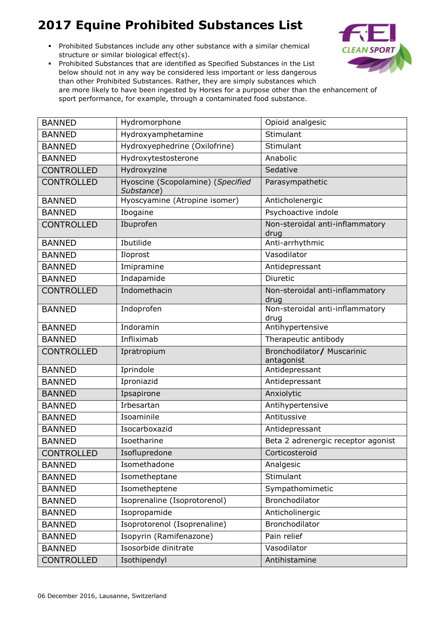Prohibited Substances include any other substance with a similar chemical structure or similar biological effect(s).



| <b>BANNED</b>     | Hydromorphone                                   | Opioid analgesic                         |
|-------------------|-------------------------------------------------|------------------------------------------|
| <b>BANNED</b>     | Hydroxyamphetamine                              | Stimulant                                |
| <b>BANNED</b>     | Hydroxyephedrine (Oxilofrine)                   | Stimulant                                |
| <b>BANNED</b>     | Hydroxytestosterone                             | Anabolic                                 |
| <b>CONTROLLED</b> | Hydroxyzine                                     | Sedative                                 |
| <b>CONTROLLED</b> | Hyoscine (Scopolamine) (Specified<br>Substance) | Parasympathetic                          |
| <b>BANNED</b>     | Hyoscyamine (Atropine isomer)                   | Anticholenergic                          |
| <b>BANNED</b>     | Ibogaine                                        | Psychoactive indole                      |
| <b>CONTROLLED</b> | Ibuprofen                                       | Non-steroidal anti-inflammatory<br>drug  |
| <b>BANNED</b>     | Ibutilide                                       | Anti-arrhythmic                          |
| <b>BANNED</b>     | Iloprost                                        | Vasodilator                              |
| <b>BANNED</b>     | Imipramine                                      | Antidepressant                           |
| <b>BANNED</b>     | Indapamide                                      | Diuretic                                 |
| <b>CONTROLLED</b> | Indomethacin                                    | Non-steroidal anti-inflammatory<br>drug  |
| <b>BANNED</b>     | Indoprofen                                      | Non-steroidal anti-inflammatory<br>drug  |
| <b>BANNED</b>     | Indoramin                                       | Antihypertensive                         |
| <b>BANNED</b>     | Infliximab                                      | Therapeutic antibody                     |
| <b>CONTROLLED</b> | Ipratropium                                     | Bronchodilator/ Muscarinic<br>antagonist |
| <b>BANNED</b>     | Iprindole                                       | Antidepressant                           |
| <b>BANNED</b>     | Iproniazid                                      | Antidepressant                           |
| <b>BANNED</b>     | Ipsapirone                                      | Anxiolytic                               |
| <b>BANNED</b>     | Irbesartan                                      | Antihypertensive                         |
| <b>BANNED</b>     | Isoaminile                                      | Antitussive                              |
| <b>BANNED</b>     | Isocarboxazid                                   | Antidepressant                           |
| <b>BANNED</b>     | Isoetharine                                     | Beta 2 adrenergic receptor agonist       |
| <b>CONTROLLED</b> | Isoflupredone                                   | Corticosteroid                           |
| <b>BANNED</b>     | Isomethadone                                    | Analgesic                                |
| <b>BANNED</b>     | Isometheptane                                   | Stimulant                                |
| <b>BANNED</b>     | Isometheptene                                   | Sympathomimetic                          |
| <b>BANNED</b>     | Isoprenaline (Isoprotorenol)                    | Bronchodilator                           |
| <b>BANNED</b>     | Isopropamide                                    | Anticholinergic                          |
| <b>BANNED</b>     | Isoprotorenol (Isoprenaline)                    | Bronchodilator                           |
| <b>BANNED</b>     | Isopyrin (Ramifenazone)                         | Pain relief                              |
| <b>BANNED</b>     | Isosorbide dinitrate                            | Vasodilator                              |
| CONTROLLED        | Isothipendyl                                    | Antihistamine                            |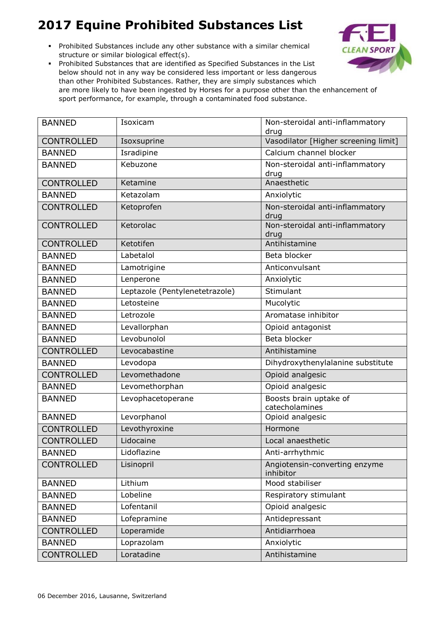- Prohibited Substances include any other substance with a similar chemical structure or similar biological effect(s).
- Prohibited Substances that are identified as Specified Substances in the List below should not in any way be considered less important or less dangerous than other Prohibited Substances. Rather, they are simply substances which are more likely to have been ingested by Horses for a purpose other than the enhancement of sport performance, for example, through a contaminated food substance.



| <b>BANNED</b>     | Isoxicam                       | Non-steroidal anti-inflammatory<br>drug    |
|-------------------|--------------------------------|--------------------------------------------|
| <b>CONTROLLED</b> | Isoxsuprine                    | Vasodilator [Higher screening limit]       |
| <b>BANNED</b>     | Isradipine                     | Calcium channel blocker                    |
| <b>BANNED</b>     | Kebuzone                       | Non-steroidal anti-inflammatory<br>drug    |
| <b>CONTROLLED</b> | Ketamine                       | Anaesthetic                                |
| <b>BANNED</b>     | Ketazolam                      | Anxiolytic                                 |
| <b>CONTROLLED</b> | Ketoprofen                     | Non-steroidal anti-inflammatory<br>drug    |
| <b>CONTROLLED</b> | Ketorolac                      | Non-steroidal anti-inflammatory<br>drug    |
| <b>CONTROLLED</b> | Ketotifen                      | Antihistamine                              |
| <b>BANNED</b>     | Labetalol                      | Beta blocker                               |
| <b>BANNED</b>     | Lamotrigine                    | Anticonvulsant                             |
| <b>BANNED</b>     | Lenperone                      | Anxiolytic                                 |
| <b>BANNED</b>     | Leptazole (Pentylenetetrazole) | Stimulant                                  |
| <b>BANNED</b>     | Letosteine                     | Mucolytic                                  |
| <b>BANNED</b>     | Letrozole                      | Aromatase inhibitor                        |
| <b>BANNED</b>     | Levallorphan                   | Opioid antagonist                          |
| <b>BANNED</b>     | Levobunolol                    | Beta blocker                               |
| <b>CONTROLLED</b> | Levocabastine                  | Antihistamine                              |
| <b>BANNED</b>     | Levodopa                       | Dihydroxythenylalanine substitute          |
| <b>CONTROLLED</b> | Levomethadone                  | Opioid analgesic                           |
| <b>BANNED</b>     | Levomethorphan                 | Opioid analgesic                           |
| <b>BANNED</b>     | Levophacetoperane              | Boosts brain uptake of<br>catecholamines   |
| <b>BANNED</b>     | Levorphanol                    | Opioid analgesic                           |
| <b>CONTROLLED</b> | Levothyroxine                  | Hormone                                    |
| <b>CONTROLLED</b> | Lidocaine                      | Local anaesthetic                          |
| <b>BANNED</b>     | Lidoflazine                    | Anti-arrhythmic                            |
| <b>CONTROLLED</b> | Lisinopril                     | Angiotensin-converting enzyme<br>inhibitor |
| <b>BANNED</b>     | Lithium                        | Mood stabiliser                            |
| <b>BANNED</b>     | Lobeline                       | Respiratory stimulant                      |
| <b>BANNED</b>     | Lofentanil                     | Opioid analgesic                           |
| <b>BANNED</b>     | Lofepramine                    | Antidepressant                             |
| <b>CONTROLLED</b> | Loperamide                     | Antidiarrhoea                              |
| <b>BANNED</b>     | Loprazolam                     | Anxiolytic                                 |
| <b>CONTROLLED</b> | Loratadine                     | Antihistamine                              |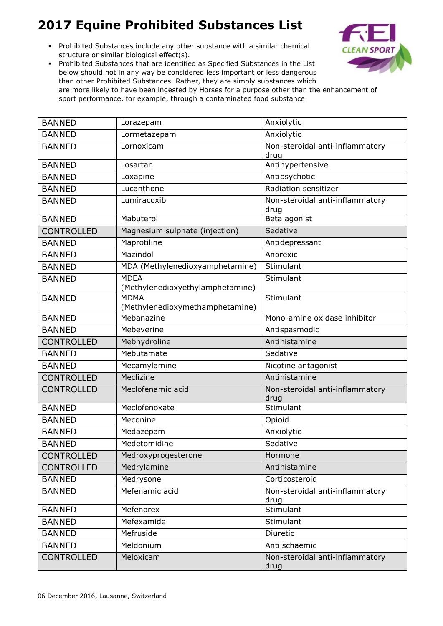Prohibited Substances include any other substance with a similar chemical structure or similar biological effect(s).



| <b>BANNED</b>     | Lorazepam                                      | Anxiolytic                              |
|-------------------|------------------------------------------------|-----------------------------------------|
| <b>BANNED</b>     | Lormetazepam                                   | Anxiolytic                              |
| <b>BANNED</b>     | Lornoxicam                                     | Non-steroidal anti-inflammatory<br>drug |
| <b>BANNED</b>     | Losartan                                       | Antihypertensive                        |
| <b>BANNED</b>     | Loxapine                                       | Antipsychotic                           |
| <b>BANNED</b>     | Lucanthone                                     | Radiation sensitizer                    |
| <b>BANNED</b>     | Lumiracoxib                                    | Non-steroidal anti-inflammatory<br>drug |
| <b>BANNED</b>     | Mabuterol                                      | Beta agonist                            |
| <b>CONTROLLED</b> | Magnesium sulphate (injection)                 | Sedative                                |
| <b>BANNED</b>     | Maprotiline                                    | Antidepressant                          |
| <b>BANNED</b>     | Mazindol                                       | Anorexic                                |
| <b>BANNED</b>     | MDA (Methylenedioxyamphetamine)                | Stimulant                               |
| <b>BANNED</b>     | <b>MDEA</b>                                    | Stimulant                               |
|                   | (Methylenedioxyethylamphetamine)               |                                         |
| <b>BANNED</b>     | <b>MDMA</b><br>(Methylenedioxymethamphetamine) | Stimulant                               |
| <b>BANNED</b>     | Mebanazine                                     | Mono-amine oxidase inhibitor            |
| <b>BANNED</b>     | Mebeverine                                     | Antispasmodic                           |
| <b>CONTROLLED</b> | Mebhydroline                                   | Antihistamine                           |
| <b>BANNED</b>     | Mebutamate                                     | Sedative                                |
| <b>BANNED</b>     | Mecamylamine                                   | Nicotine antagonist                     |
| <b>CONTROLLED</b> | Meclizine                                      | Antihistamine                           |
| <b>CONTROLLED</b> | Meclofenamic acid                              | Non-steroidal anti-inflammatory<br>drug |
| <b>BANNED</b>     | Meclofenoxate                                  | Stimulant                               |
| <b>BANNED</b>     | Meconine                                       | Opioid                                  |
| <b>BANNED</b>     | Medazepam                                      | Anxiolytic                              |
| <b>BANNED</b>     | Medetomidine                                   | Sedative                                |
| <b>CONTROLLED</b> | Medroxyprogesterone                            | Hormone                                 |
| <b>CONTROLLED</b> | Medrylamine                                    | Antihistamine                           |
| <b>BANNED</b>     | Medrysone                                      | Corticosteroid                          |
| <b>BANNED</b>     | Mefenamic acid                                 | Non-steroidal anti-inflammatory<br>drug |
| <b>BANNED</b>     | Mefenorex                                      | Stimulant                               |
| <b>BANNED</b>     | Mefexamide                                     | Stimulant                               |
| <b>BANNED</b>     | Mefruside                                      | Diuretic                                |
| <b>BANNED</b>     | Meldonium                                      | Antiischaemic                           |
| <b>CONTROLLED</b> | Meloxicam                                      | Non-steroidal anti-inflammatory         |
|                   |                                                | drug                                    |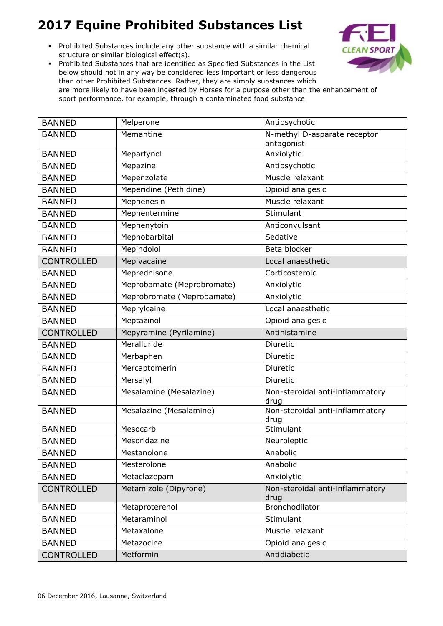Prohibited Substances include any other substance with a similar chemical structure or similar biological effect(s).



| <b>BANNED</b>     | Melperone                  | Antipsychotic                           |
|-------------------|----------------------------|-----------------------------------------|
| <b>BANNED</b>     | Memantine                  | N-methyl D-asparate receptor            |
|                   |                            | antagonist                              |
| <b>BANNED</b>     | Meparfynol                 | Anxiolytic                              |
| <b>BANNED</b>     | Mepazine                   | Antipsychotic                           |
| <b>BANNED</b>     | Mepenzolate                | Muscle relaxant                         |
| <b>BANNED</b>     | Meperidine (Pethidine)     | Opioid analgesic                        |
| <b>BANNED</b>     | Mephenesin                 | Muscle relaxant                         |
| <b>BANNED</b>     | Mephentermine              | Stimulant                               |
| <b>BANNED</b>     | Mephenytoin                | Anticonvulsant                          |
| <b>BANNED</b>     | Mephobarbital              | Sedative                                |
| <b>BANNED</b>     | Mepindolol                 | Beta blocker                            |
| <b>CONTROLLED</b> | Mepivacaine                | Local anaesthetic                       |
| <b>BANNED</b>     | Meprednisone               | Corticosteroid                          |
| <b>BANNED</b>     | Meprobamate (Meprobromate) | Anxiolytic                              |
| <b>BANNED</b>     | Meprobromate (Meprobamate) | Anxiolytic                              |
| <b>BANNED</b>     | Meprylcaine                | Local anaesthetic                       |
| <b>BANNED</b>     | Meptazinol                 | Opioid analgesic                        |
| <b>CONTROLLED</b> | Mepyramine (Pyrilamine)    | Antihistamine                           |
| <b>BANNED</b>     | Meralluride                | Diuretic                                |
| <b>BANNED</b>     | Merbaphen                  | Diuretic                                |
| <b>BANNED</b>     | Mercaptomerin              | Diuretic                                |
| <b>BANNED</b>     | Mersalyl                   | Diuretic                                |
| <b>BANNED</b>     | Mesalamine (Mesalazine)    | Non-steroidal anti-inflammatory<br>drug |
| <b>BANNED</b>     | Mesalazine (Mesalamine)    | Non-steroidal anti-inflammatory<br>drug |
| <b>BANNED</b>     | Mesocarb                   | Stimulant                               |
| <b>BANNED</b>     | Mesoridazine               | Neuroleptic                             |
| <b>BANNED</b>     | Mestanolone                | Anabolic                                |
| <b>BANNED</b>     | Mesterolone                | Anabolic                                |
| <b>BANNED</b>     | Metaclazepam               | Anxiolytic                              |
| <b>CONTROLLED</b> | Metamizole (Dipyrone)      | Non-steroidal anti-inflammatory<br>drug |
| <b>BANNED</b>     | Metaproterenol             | Bronchodilator                          |
| <b>BANNED</b>     | Metaraminol                | Stimulant                               |
| <b>BANNED</b>     | Metaxalone                 | Muscle relaxant                         |
| <b>BANNED</b>     | Metazocine                 | Opioid analgesic                        |
| <b>CONTROLLED</b> | Metformin                  | Antidiabetic                            |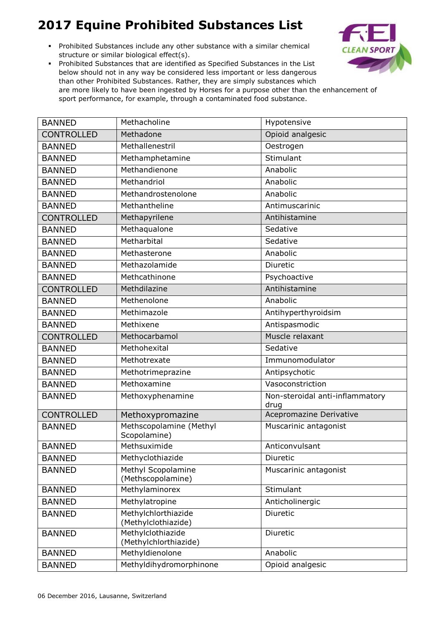Prohibited Substances include any other substance with a similar chemical structure or similar biological effect(s).



| <b>BANNED</b>     | Methacholine                               | Hypotensive                             |
|-------------------|--------------------------------------------|-----------------------------------------|
| <b>CONTROLLED</b> | Methadone                                  | Opioid analgesic                        |
| <b>BANNED</b>     | Methallenestril                            | Oestrogen                               |
| <b>BANNED</b>     | Methamphetamine                            | Stimulant                               |
| <b>BANNED</b>     | Methandienone                              | Anabolic                                |
| <b>BANNED</b>     | Methandriol                                | Anabolic                                |
| <b>BANNED</b>     | Methandrostenolone                         | Anabolic                                |
| <b>BANNED</b>     | Methantheline                              | Antimuscarinic                          |
| <b>CONTROLLED</b> | Methapyrilene                              | Antihistamine                           |
| <b>BANNED</b>     | Methaqualone                               | Sedative                                |
| <b>BANNED</b>     | Metharbital                                | Sedative                                |
| <b>BANNED</b>     | Methasterone                               | Anabolic                                |
| <b>BANNED</b>     | Methazolamide                              | Diuretic                                |
| <b>BANNED</b>     | Methcathinone                              | Psychoactive                            |
| <b>CONTROLLED</b> | Methdilazine                               | Antihistamine                           |
| <b>BANNED</b>     | Methenolone                                | Anabolic                                |
| <b>BANNED</b>     | Methimazole                                | Antihyperthyroidsim                     |
| <b>BANNED</b>     | Methixene                                  | Antispasmodic                           |
| <b>CONTROLLED</b> | Methocarbamol                              | Muscle relaxant                         |
| <b>BANNED</b>     | Methohexital                               | Sedative                                |
| <b>BANNED</b>     | Methotrexate                               | Immunomodulator                         |
| <b>BANNED</b>     | Methotrimeprazine                          | Antipsychotic                           |
| <b>BANNED</b>     | Methoxamine                                | Vasoconstriction                        |
| <b>BANNED</b>     | Methoxyphenamine                           | Non-steroidal anti-inflammatory<br>drug |
| <b>CONTROLLED</b> | Methoxypromazine                           | Acepromazine Derivative                 |
| <b>BANNED</b>     | Methscopolamine (Methyl<br>Scopolamine)    | Muscarinic antagonist                   |
| <b>BANNED</b>     | Methsuximide                               | Anticonvulsant                          |
| <b>BANNED</b>     | Methyclothiazide                           | Diuretic                                |
| <b>BANNED</b>     | Methyl Scopolamine<br>(Methscopolamine)    | Muscarinic antagonist                   |
| <b>BANNED</b>     | Methylaminorex                             | Stimulant                               |
| <b>BANNED</b>     | Methylatropine                             | Anticholinergic                         |
| <b>BANNED</b>     | Methylchlorthiazide<br>(Methylclothiazide) | Diuretic                                |
| <b>BANNED</b>     | Methylclothiazide<br>(Methylchlorthiazide) | Diuretic                                |
| <b>BANNED</b>     | Methyldienolone                            | Anabolic                                |
| <b>BANNED</b>     | Methyldihydromorphinone                    | Opioid analgesic                        |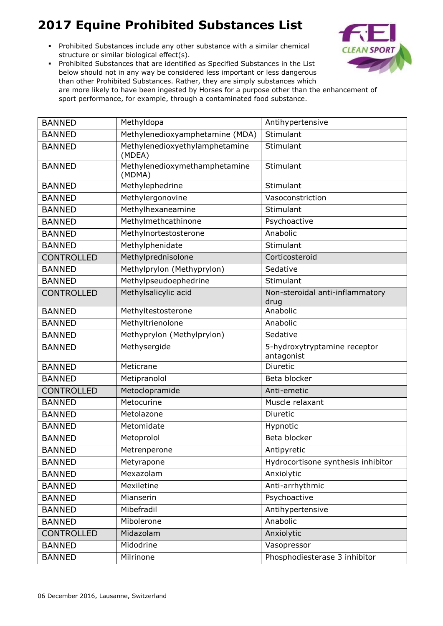Prohibited Substances include any other substance with a similar chemical structure or similar biological effect(s).



| <b>BANNED</b>     | Methyldopa                               | Antihypertensive                           |
|-------------------|------------------------------------------|--------------------------------------------|
| <b>BANNED</b>     | Methylenedioxyamphetamine (MDA)          | Stimulant                                  |
| <b>BANNED</b>     | Methylenedioxyethylamphetamine<br>(MDEA) | Stimulant                                  |
| <b>BANNED</b>     | Methylenedioxymethamphetamine<br>(MDMA)  | Stimulant                                  |
| <b>BANNED</b>     | Methylephedrine                          | Stimulant                                  |
| <b>BANNED</b>     | Methylergonovine                         | Vasoconstriction                           |
| <b>BANNED</b>     | Methylhexaneamine                        | Stimulant                                  |
| <b>BANNED</b>     | Methylmethcathinone                      | Psychoactive                               |
| <b>BANNED</b>     | Methylnortestosterone                    | Anabolic                                   |
| <b>BANNED</b>     | Methylphenidate                          | Stimulant                                  |
| <b>CONTROLLED</b> | Methylprednisolone                       | Corticosteroid                             |
| <b>BANNED</b>     | Methylprylon (Methyprylon)               | Sedative                                   |
| <b>BANNED</b>     | Methylpseudoephedrine                    | Stimulant                                  |
| <b>CONTROLLED</b> | Methylsalicylic acid                     | Non-steroidal anti-inflammatory<br>drug    |
| <b>BANNED</b>     | Methyltestosterone                       | Anabolic                                   |
| <b>BANNED</b>     | Methyltrienolone                         | Anabolic                                   |
| <b>BANNED</b>     | Methyprylon (Methylprylon)               | Sedative                                   |
| <b>BANNED</b>     | Methysergide                             | 5-hydroxytryptamine receptor<br>antagonist |
| <b>BANNED</b>     | Meticrane                                | Diuretic                                   |
| <b>BANNED</b>     | Metipranolol                             | Beta blocker                               |
| <b>CONTROLLED</b> | Metoclopramide                           | Anti-emetic                                |
| <b>BANNED</b>     | Metocurine                               | Muscle relaxant                            |
| <b>BANNED</b>     | Metolazone                               | <b>Diuretic</b>                            |
| <b>BANNED</b>     | Metomidate                               | Hypnotic                                   |
| <b>BANNED</b>     | Metoprolol                               | Beta blocker                               |
| <b>BANNED</b>     | Metrenperone                             | Antipyretic                                |
| <b>BANNED</b>     | Metyrapone                               | Hydrocortisone synthesis inhibitor         |
| <b>BANNED</b>     | Mexazolam                                | Anxiolytic                                 |
| <b>BANNED</b>     | Mexiletine                               | Anti-arrhythmic                            |
| <b>BANNED</b>     | Mianserin                                | Psychoactive                               |
| <b>BANNED</b>     | Mibefradil                               | Antihypertensive                           |
| <b>BANNED</b>     | Mibolerone                               | Anabolic                                   |
| <b>CONTROLLED</b> | Midazolam                                | Anxiolytic                                 |
| <b>BANNED</b>     | Midodrine                                | Vasopressor                                |
| <b>BANNED</b>     | Milrinone                                | Phosphodiesterase 3 inhibitor              |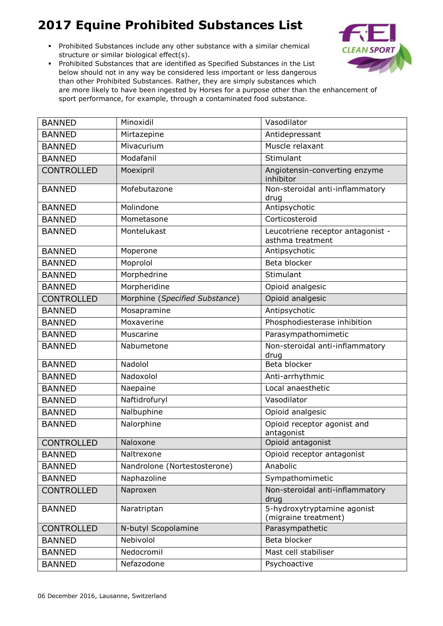Prohibited Substances include any other substance with a similar chemical structure or similar biological effect(s).



| <b>BANNED</b>     | Minoxidil                      | Vasodilator                                           |
|-------------------|--------------------------------|-------------------------------------------------------|
| <b>BANNED</b>     | Mirtazepine                    | Antidepressant                                        |
| <b>BANNED</b>     | Mivacurium                     | Muscle relaxant                                       |
| <b>BANNED</b>     | Modafanil                      | Stimulant                                             |
| <b>CONTROLLED</b> | Moexipril                      | Angiotensin-converting enzyme<br>inhibitor            |
| <b>BANNED</b>     | Mofebutazone                   | Non-steroidal anti-inflammatory<br>drug               |
| <b>BANNED</b>     | Molindone                      | Antipsychotic                                         |
| <b>BANNED</b>     | Mometasone                     | Corticosteroid                                        |
| <b>BANNED</b>     | Montelukast                    | Leucotriene receptor antagonist -<br>asthma treatment |
| <b>BANNED</b>     | Moperone                       | Antipsychotic                                         |
| <b>BANNED</b>     | Moprolol                       | Beta blocker                                          |
| <b>BANNED</b>     | Morphedrine                    | Stimulant                                             |
| <b>BANNED</b>     | Morpheridine                   | Opioid analgesic                                      |
| <b>CONTROLLED</b> | Morphine (Specified Substance) | Opioid analgesic                                      |
| <b>BANNED</b>     | Mosapramine                    | Antipsychotic                                         |
| <b>BANNED</b>     | Moxaverine                     | Phosphodiesterase inhibition                          |
| <b>BANNED</b>     | Muscarine                      | Parasympathomimetic                                   |
| <b>BANNED</b>     | Nabumetone                     | Non-steroidal anti-inflammatory<br>drug               |
| <b>BANNED</b>     | Nadolol                        | Beta blocker                                          |
| <b>BANNED</b>     | Nadoxolol                      | Anti-arrhythmic                                       |
| <b>BANNED</b>     | Naepaine                       | Local anaesthetic                                     |
| <b>BANNED</b>     | Naftidrofuryl                  | Vasodilator                                           |
| <b>BANNED</b>     | Nalbuphine                     | Opioid analgesic                                      |
| <b>BANNED</b>     | Nalorphine                     | Opioid receptor agonist and<br>antagonist             |
| <b>CONTROLLED</b> | Naloxone                       | Opioid antagonist                                     |
| <b>BANNED</b>     | Naltrexone                     | Opioid receptor antagonist                            |
| <b>BANNED</b>     | Nandrolone (Nortestosterone)   | Anabolic                                              |
| <b>BANNED</b>     | Naphazoline                    | Sympathomimetic                                       |
| <b>CONTROLLED</b> | Naproxen                       | Non-steroidal anti-inflammatory<br>drug               |
| <b>BANNED</b>     | Naratriptan                    | 5-hydroxytryptamine agonist<br>(migraine treatment)   |
| <b>CONTROLLED</b> | N-butyl Scopolamine            | Parasympathetic                                       |
| <b>BANNED</b>     | Nebivolol                      | Beta blocker                                          |
| <b>BANNED</b>     | Nedocromil                     | Mast cell stabiliser                                  |
| <b>BANNED</b>     | Nefazodone                     | Psychoactive                                          |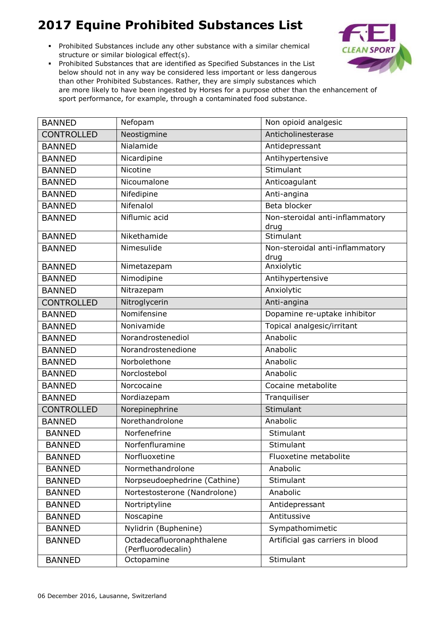Prohibited Substances include any other substance with a similar chemical structure or similar biological effect(s).



| <b>BANNED</b>     | Nefopam                                         | Non opioid analgesic                    |
|-------------------|-------------------------------------------------|-----------------------------------------|
| <b>CONTROLLED</b> | Neostigmine                                     | Anticholinesterase                      |
| <b>BANNED</b>     | Nialamide                                       | Antidepressant                          |
| <b>BANNED</b>     | Nicardipine                                     | Antihypertensive                        |
| <b>BANNED</b>     | Nicotine                                        | Stimulant                               |
| <b>BANNED</b>     | Nicoumalone                                     | Anticoagulant                           |
| <b>BANNED</b>     | Nifedipine                                      | Anti-angina                             |
| <b>BANNED</b>     | Nifenalol                                       | Beta blocker                            |
| <b>BANNED</b>     | Niflumic acid                                   | Non-steroidal anti-inflammatory<br>drug |
| <b>BANNED</b>     | Nikethamide                                     | Stimulant                               |
| <b>BANNED</b>     | Nimesulide                                      | Non-steroidal anti-inflammatory<br>drug |
| <b>BANNED</b>     | Nimetazepam                                     | Anxiolytic                              |
| <b>BANNED</b>     | Nimodipine                                      | Antihypertensive                        |
| <b>BANNED</b>     | Nitrazepam                                      | Anxiolytic                              |
| <b>CONTROLLED</b> | Nitroglycerin                                   | Anti-angina                             |
| <b>BANNED</b>     | Nomifensine                                     | Dopamine re-uptake inhibitor            |
| <b>BANNED</b>     | Nonivamide                                      | Topical analgesic/irritant              |
| <b>BANNED</b>     | Norandrostenediol                               | Anabolic                                |
| <b>BANNED</b>     | Norandrostenedione                              | Anabolic                                |
| <b>BANNED</b>     | Norbolethone                                    | Anabolic                                |
| <b>BANNED</b>     | Norclostebol                                    | Anabolic                                |
| <b>BANNED</b>     | Norcocaine                                      | Cocaine metabolite                      |
| <b>BANNED</b>     | Nordiazepam                                     | Tranquiliser                            |
| <b>CONTROLLED</b> | Norepinephrine                                  | Stimulant                               |
| <b>BANNED</b>     | Norethandrolone                                 | Anabolic                                |
| <b>BANNED</b>     | Norfenefrine                                    | Stimulant                               |
| <b>BANNED</b>     | Norfenfluramine                                 | Stimulant                               |
| <b>BANNED</b>     | Norfluoxetine                                   | Fluoxetine metabolite                   |
| <b>BANNED</b>     | Normethandrolone                                | Anabolic                                |
| <b>BANNED</b>     | Norpseudoephedrine (Cathine)                    | Stimulant                               |
| <b>BANNED</b>     | Nortestosterone (Nandrolone)                    | Anabolic                                |
| <b>BANNED</b>     | Nortriptyline                                   | Antidepressant                          |
| <b>BANNED</b>     | Noscapine                                       | Antitussive                             |
| <b>BANNED</b>     | Nylidrin (Buphenine)                            | Sympathomimetic                         |
| <b>BANNED</b>     | Octadecafluoronaphthalene<br>(Perfluorodecalin) | Artificial gas carriers in blood        |
| <b>BANNED</b>     | Octopamine                                      | Stimulant                               |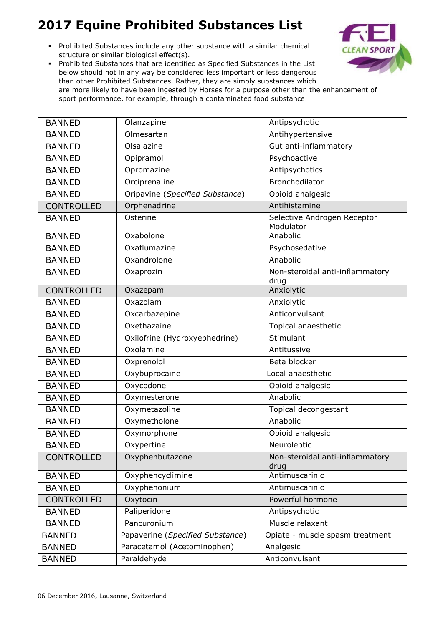Prohibited Substances include any other substance with a similar chemical structure or similar biological effect(s).



| <b>BANNED</b>     | Olanzapine                       | Antipsychotic                            |
|-------------------|----------------------------------|------------------------------------------|
| <b>BANNED</b>     | Olmesartan                       | Antihypertensive                         |
| <b>BANNED</b>     | Olsalazine                       | Gut anti-inflammatory                    |
| <b>BANNED</b>     | Opipramol                        | Psychoactive                             |
| <b>BANNED</b>     | Opromazine                       | Antipsychotics                           |
| <b>BANNED</b>     | Orciprenaline                    | Bronchodilator                           |
| <b>BANNED</b>     | Oripavine (Specified Substance)  | Opioid analgesic                         |
| <b>CONTROLLED</b> | Orphenadrine                     | Antihistamine                            |
| <b>BANNED</b>     | Osterine                         | Selective Androgen Receptor<br>Modulator |
| <b>BANNED</b>     | Oxabolone                        | Anabolic                                 |
| <b>BANNED</b>     | Oxaflumazine                     | Psychosedative                           |
| <b>BANNED</b>     | Oxandrolone                      | Anabolic                                 |
| <b>BANNED</b>     | Oxaprozin                        | Non-steroidal anti-inflammatory<br>drug  |
| <b>CONTROLLED</b> | Oxazepam                         | Anxiolytic                               |
| <b>BANNED</b>     | Oxazolam                         | Anxiolytic                               |
| <b>BANNED</b>     | Oxcarbazepine                    | Anticonvulsant                           |
| <b>BANNED</b>     | Oxethazaine                      | Topical anaesthetic                      |
| <b>BANNED</b>     | Oxilofrine (Hydroxyephedrine)    | Stimulant                                |
| <b>BANNED</b>     | Oxolamine                        | Antitussive                              |
| <b>BANNED</b>     | Oxprenolol                       | Beta blocker                             |
| <b>BANNED</b>     | Oxybuprocaine                    | Local anaesthetic                        |
| <b>BANNED</b>     | Oxycodone                        | Opioid analgesic                         |
| <b>BANNED</b>     | Oxymesterone                     | Anabolic                                 |
| <b>BANNED</b>     | Oxymetazoline                    | Topical decongestant                     |
| <b>BANNED</b>     | Oxymetholone                     | Anabolic                                 |
| <b>BANNED</b>     | Oxymorphone                      | Opioid analgesic                         |
| <b>BANNED</b>     | Oxypertine                       | Neuroleptic                              |
| <b>CONTROLLED</b> | Oxyphenbutazone                  | Non-steroidal anti-inflammatory<br>drug  |
| <b>BANNED</b>     | Oxyphencyclimine                 | Antimuscarinic                           |
| <b>BANNED</b>     | Oxyphenonium                     | Antimuscarinic                           |
| <b>CONTROLLED</b> | Oxytocin                         | Powerful hormone                         |
| <b>BANNED</b>     | Paliperidone                     | Antipsychotic                            |
| <b>BANNED</b>     | Pancuronium                      | Muscle relaxant                          |
| <b>BANNED</b>     | Papaverine (Specified Substance) | Opiate - muscle spasm treatment          |
| <b>BANNED</b>     | Paracetamol (Acetominophen)      | Analgesic                                |
| <b>BANNED</b>     | Paraldehyde                      | Anticonvulsant                           |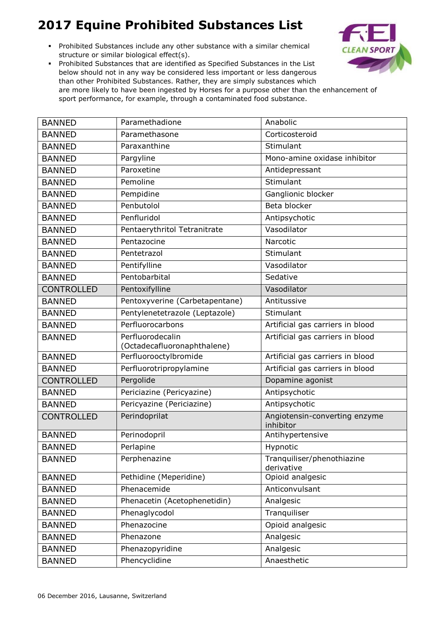Prohibited Substances include any other substance with a similar chemical structure or similar biological effect(s).



| <b>BANNED</b>     | Paramethadione                                  | Anabolic                                   |
|-------------------|-------------------------------------------------|--------------------------------------------|
| <b>BANNED</b>     | Paramethasone                                   | Corticosteroid                             |
| <b>BANNED</b>     | Paraxanthine                                    | Stimulant                                  |
| <b>BANNED</b>     | Pargyline                                       | Mono-amine oxidase inhibitor               |
| <b>BANNED</b>     | Paroxetine                                      | Antidepressant                             |
| <b>BANNED</b>     | Pemoline                                        | Stimulant                                  |
| <b>BANNED</b>     | Pempidine                                       | Ganglionic blocker                         |
| <b>BANNED</b>     | Penbutolol                                      | Beta blocker                               |
| <b>BANNED</b>     | Penfluridol                                     | Antipsychotic                              |
| <b>BANNED</b>     | Pentaerythritol Tetranitrate                    | Vasodilator                                |
| <b>BANNED</b>     | Pentazocine                                     | Narcotic                                   |
| <b>BANNED</b>     | Pentetrazol                                     | Stimulant                                  |
| <b>BANNED</b>     | Pentifylline                                    | Vasodilator                                |
| <b>BANNED</b>     | Pentobarbital                                   | Sedative                                   |
| <b>CONTROLLED</b> | Pentoxifylline                                  | Vasodilator                                |
| <b>BANNED</b>     | Pentoxyverine (Carbetapentane)                  | Antitussive                                |
| <b>BANNED</b>     | Pentylenetetrazole (Leptazole)                  | Stimulant                                  |
| <b>BANNED</b>     | Perfluorocarbons                                | Artificial gas carriers in blood           |
| <b>BANNED</b>     | Perfluorodecalin<br>(Octadecafluoronaphthalene) | Artificial gas carriers in blood           |
| <b>BANNED</b>     | Perfluorooctylbromide                           | Artificial gas carriers in blood           |
| <b>BANNED</b>     | Perfluorotripropylamine                         | Artificial gas carriers in blood           |
| <b>CONTROLLED</b> | Pergolide                                       | Dopamine agonist                           |
| <b>BANNED</b>     | Periciazine (Pericyazine)                       | Antipsychotic                              |
| <b>BANNED</b>     | Pericyazine (Periciazine)                       | Antipsychotic                              |
| <b>CONTROLLED</b> | Perindoprilat                                   | Angiotensin-converting enzyme<br>inhibitor |
| <b>BANNED</b>     | Perinodopril                                    | Antihypertensive                           |
| <b>BANNED</b>     | Perlapine                                       | Hypnotic                                   |
| <b>BANNED</b>     | Perphenazine                                    | Tranquiliser/phenothiazine<br>derivative   |
| <b>BANNED</b>     | Pethidine (Meperidine)                          | Opioid analgesic                           |
| <b>BANNED</b>     | Phenacemide                                     | Anticonvulsant                             |
| <b>BANNED</b>     | Phenacetin (Acetophenetidin)                    | Analgesic                                  |
| <b>BANNED</b>     | Phenaglycodol                                   | Tranquiliser                               |
| <b>BANNED</b>     | Phenazocine                                     | Opioid analgesic                           |
| <b>BANNED</b>     | Phenazone                                       | Analgesic                                  |
| <b>BANNED</b>     | Phenazopyridine                                 | Analgesic                                  |
| <b>BANNED</b>     | Phencyclidine                                   | Anaesthetic                                |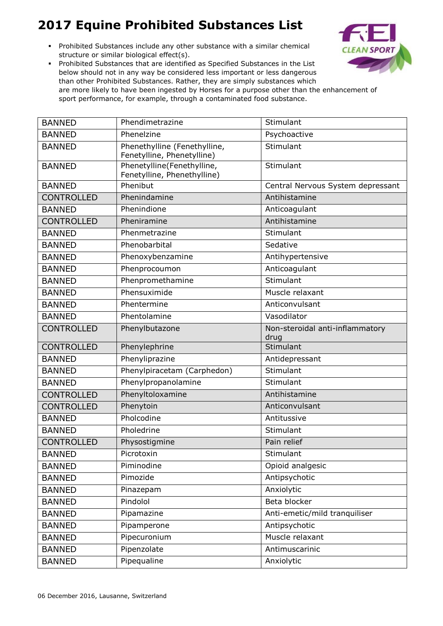Prohibited Substances include any other substance with a similar chemical structure or similar biological effect(s).



| <b>BANNED</b>     | Phendimetrazine                                            | Stimulant                               |
|-------------------|------------------------------------------------------------|-----------------------------------------|
| <b>BANNED</b>     | Phenelzine                                                 | Psychoactive                            |
| <b>BANNED</b>     | Phenethylline (Fenethylline,<br>Fenetylline, Phenetylline) | Stimulant                               |
| <b>BANNED</b>     | Phenetylline(Fenethylline,<br>Fenetylline, Phenethylline)  | Stimulant                               |
| <b>BANNED</b>     | Phenibut                                                   | Central Nervous System depressant       |
| <b>CONTROLLED</b> | Phenindamine                                               | Antihistamine                           |
| <b>BANNED</b>     | Phenindione                                                | Anticoagulant                           |
| <b>CONTROLLED</b> | Pheniramine                                                | Antihistamine                           |
| <b>BANNED</b>     | Phenmetrazine                                              | Stimulant                               |
| <b>BANNED</b>     | Phenobarbital                                              | Sedative                                |
| <b>BANNED</b>     | Phenoxybenzamine                                           | Antihypertensive                        |
| <b>BANNED</b>     | Phenprocoumon                                              | Anticoagulant                           |
| <b>BANNED</b>     | Phenpromethamine                                           | Stimulant                               |
| <b>BANNED</b>     | Phensuximide                                               | Muscle relaxant                         |
| <b>BANNED</b>     | Phentermine                                                | Anticonvulsant                          |
| <b>BANNED</b>     | Phentolamine                                               | Vasodilator                             |
| <b>CONTROLLED</b> | Phenylbutazone                                             | Non-steroidal anti-inflammatory<br>drug |
| <b>CONTROLLED</b> | Phenylephrine                                              | Stimulant                               |
| <b>BANNED</b>     | Phenyliprazine                                             | Antidepressant                          |
| <b>BANNED</b>     | Phenylpiracetam (Carphedon)                                | Stimulant                               |
| <b>BANNED</b>     | Phenylpropanolamine                                        | Stimulant                               |
| <b>CONTROLLED</b> | Phenyltoloxamine                                           | Antihistamine                           |
| <b>CONTROLLED</b> | Phenytoin                                                  | Anticonvulsant                          |
| <b>BANNED</b>     | Pholcodine                                                 | Antitussive                             |
| <b>BANNED</b>     | Pholedrine                                                 | Stimulant                               |
| <b>CONTROLLED</b> | Physostigmine                                              | Pain relief                             |
| <b>BANNED</b>     | Picrotoxin                                                 | Stimulant                               |
| <b>BANNED</b>     | Piminodine                                                 | Opioid analgesic                        |
| <b>BANNED</b>     | Pimozide                                                   | Antipsychotic                           |
| <b>BANNED</b>     | Pinazepam                                                  | Anxiolytic                              |
| <b>BANNED</b>     | Pindolol                                                   | Beta blocker                            |
| <b>BANNED</b>     | Pipamazine                                                 | Anti-emetic/mild tranquiliser           |
| <b>BANNED</b>     | Pipamperone                                                | Antipsychotic                           |
| <b>BANNED</b>     | Pipecuronium                                               | Muscle relaxant                         |
| <b>BANNED</b>     | Pipenzolate                                                | Antimuscarinic                          |
| <b>BANNED</b>     | Pipequaline                                                | Anxiolytic                              |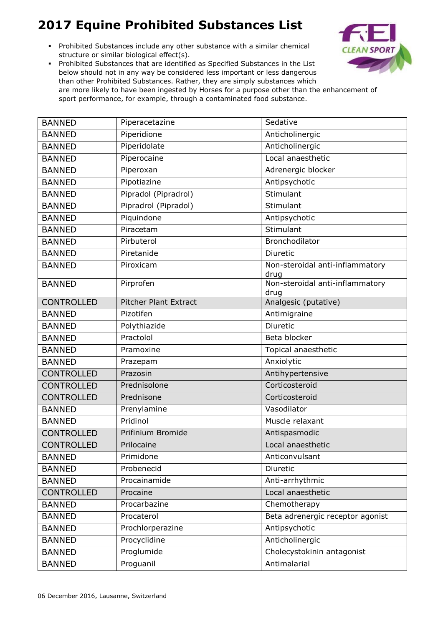Prohibited Substances include any other substance with a similar chemical structure or similar biological effect(s).



| <b>BANNED</b>     | Piperacetazine               | Sedative                                |
|-------------------|------------------------------|-----------------------------------------|
| <b>BANNED</b>     | Piperidione                  | Anticholinergic                         |
| <b>BANNED</b>     | Piperidolate                 | Anticholinergic                         |
| <b>BANNED</b>     | Piperocaine                  | Local anaesthetic                       |
| <b>BANNED</b>     | Piperoxan                    | Adrenergic blocker                      |
| <b>BANNED</b>     | Pipotiazine                  | Antipsychotic                           |
| <b>BANNED</b>     | Pipradol (Pipradrol)         | Stimulant                               |
| <b>BANNED</b>     | Pipradrol (Pipradol)         | Stimulant                               |
| <b>BANNED</b>     | Piquindone                   | Antipsychotic                           |
| <b>BANNED</b>     | Piracetam                    | Stimulant                               |
| <b>BANNED</b>     | Pirbuterol                   | Bronchodilator                          |
| <b>BANNED</b>     | Piretanide                   | Diuretic                                |
| <b>BANNED</b>     | Piroxicam                    | Non-steroidal anti-inflammatory<br>drug |
| <b>BANNED</b>     | Pirprofen                    | Non-steroidal anti-inflammatory<br>drug |
| <b>CONTROLLED</b> | <b>Pitcher Plant Extract</b> | Analgesic (putative)                    |
| <b>BANNED</b>     | Pizotifen                    | Antimigraine                            |
| <b>BANNED</b>     | Polythiazide                 | Diuretic                                |
| <b>BANNED</b>     | Practolol                    | Beta blocker                            |
| <b>BANNED</b>     | Pramoxine                    | Topical anaesthetic                     |
| <b>BANNED</b>     | Prazepam                     | Anxiolytic                              |
| <b>CONTROLLED</b> | Prazosin                     | Antihypertensive                        |
| <b>CONTROLLED</b> | Prednisolone                 | Corticosteroid                          |
| <b>CONTROLLED</b> | Prednisone                   | Corticosteroid                          |
| <b>BANNED</b>     | Prenylamine                  | Vasodilator                             |
| <b>BANNED</b>     | Pridinol                     | Muscle relaxant                         |
| <b>CONTROLLED</b> | Prifinium Bromide            | Antispasmodic                           |
| <b>CONTROLLED</b> | Prilocaine                   | Local anaesthetic                       |
| <b>BANNED</b>     | Primidone                    | Anticonvulsant                          |
| <b>BANNED</b>     | Probenecid                   | Diuretic                                |
| <b>BANNED</b>     | Procainamide                 | Anti-arrhythmic                         |
| <b>CONTROLLED</b> | Procaine                     | Local anaesthetic                       |
| <b>BANNED</b>     | Procarbazine                 | Chemotherapy                            |
| <b>BANNED</b>     | Procaterol                   | Beta adrenergic receptor agonist        |
| <b>BANNED</b>     | Prochlorperazine             | Antipsychotic                           |
| <b>BANNED</b>     | Procyclidine                 | Anticholinergic                         |
| <b>BANNED</b>     | Proglumide                   | Cholecystokinin antagonist              |
| <b>BANNED</b>     | Proguanil                    | Antimalarial                            |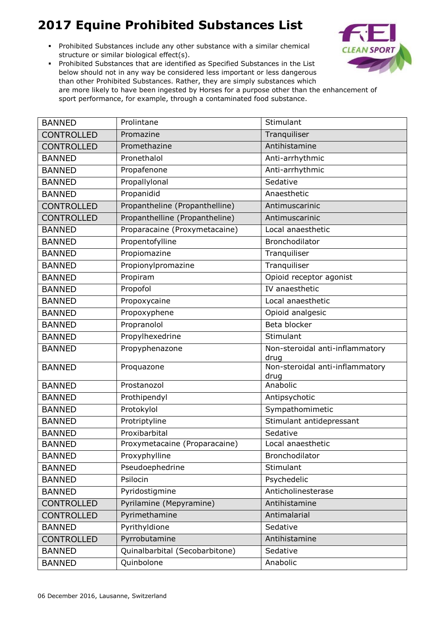Prohibited Substances include any other substance with a similar chemical structure or similar biological effect(s).



| <b>BANNED</b>     | Prolintane                     | Stimulant                               |
|-------------------|--------------------------------|-----------------------------------------|
| <b>CONTROLLED</b> | Promazine                      | Tranquiliser                            |
| <b>CONTROLLED</b> | Promethazine                   | Antihistamine                           |
| <b>BANNED</b>     | Pronethalol                    | Anti-arrhythmic                         |
| <b>BANNED</b>     | Propafenone                    | Anti-arrhythmic                         |
| <b>BANNED</b>     | Propallylonal                  | Sedative                                |
| <b>BANNED</b>     | Propanidid                     | Anaesthetic                             |
| <b>CONTROLLED</b> | Propantheline (Propanthelline) | Antimuscarinic                          |
| <b>CONTROLLED</b> | Propanthelline (Propantheline) | Antimuscarinic                          |
| <b>BANNED</b>     | Proparacaine (Proxymetacaine)  | Local anaesthetic                       |
| <b>BANNED</b>     | Propentofylline                | Bronchodilator                          |
| <b>BANNED</b>     | Propiomazine                   | Tranquiliser                            |
| <b>BANNED</b>     | Propionylpromazine             | Tranquiliser                            |
| <b>BANNED</b>     | Propiram                       | Opioid receptor agonist                 |
| <b>BANNED</b>     | Propofol                       | IV anaesthetic                          |
| <b>BANNED</b>     | Propoxycaine                   | Local anaesthetic                       |
| <b>BANNED</b>     | Propoxyphene                   | Opioid analgesic                        |
| <b>BANNED</b>     | Propranolol                    | Beta blocker                            |
| <b>BANNED</b>     | Propylhexedrine                | Stimulant                               |
| <b>BANNED</b>     | Propyphenazone                 | Non-steroidal anti-inflammatory<br>drug |
| <b>BANNED</b>     | Proquazone                     | Non-steroidal anti-inflammatory<br>drug |
| <b>BANNED</b>     | Prostanozol                    | Anabolic                                |
| <b>BANNED</b>     | Prothipendyl                   | Antipsychotic                           |
| <b>BANNED</b>     | Protokylol                     | Sympathomimetic                         |
| <b>BANNED</b>     | Protriptyline                  | Stimulant antidepressant                |
| <b>BANNED</b>     | Proxibarbital                  | Sedative                                |
| <b>BANNED</b>     | Proxymetacaine (Proparacaine)  | Local anaesthetic                       |
| <b>BANNED</b>     | Proxyphylline                  | Bronchodilator                          |
| <b>BANNED</b>     | Pseudoephedrine                | Stimulant                               |
| <b>BANNED</b>     | Psilocin                       | Psychedelic                             |
| <b>BANNED</b>     | Pyridostigmine                 | Anticholinesterase                      |
| <b>CONTROLLED</b> | Pyrilamine (Mepyramine)        | Antihistamine                           |
| <b>CONTROLLED</b> | Pyrimethamine                  | Antimalarial                            |
| <b>BANNED</b>     | Pyrithyldione                  | Sedative                                |
| <b>CONTROLLED</b> | Pyrrobutamine                  | Antihistamine                           |
| <b>BANNED</b>     | Quinalbarbital (Secobarbitone) | Sedative                                |
| <b>BANNED</b>     | Quinbolone                     | Anabolic                                |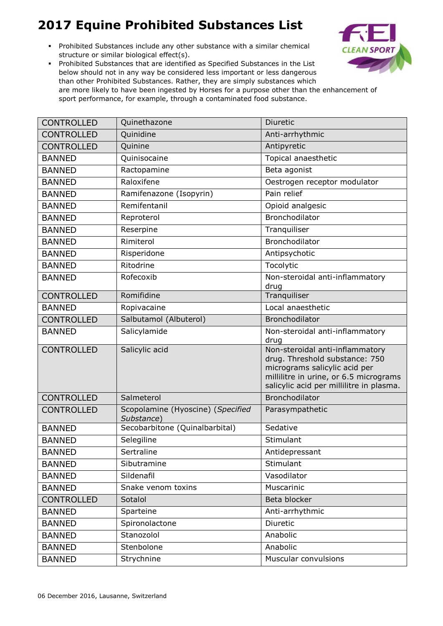Prohibited Substances include any other substance with a similar chemical structure or similar biological effect(s).



| <b>CONTROLLED</b> | Quinethazone                                    | Diuretic                                                                                                                                                                                 |
|-------------------|-------------------------------------------------|------------------------------------------------------------------------------------------------------------------------------------------------------------------------------------------|
| <b>CONTROLLED</b> | Quinidine                                       | Anti-arrhythmic                                                                                                                                                                          |
| <b>CONTROLLED</b> | Quinine                                         | Antipyretic                                                                                                                                                                              |
| <b>BANNED</b>     | Quinisocaine                                    | Topical anaesthetic                                                                                                                                                                      |
| <b>BANNED</b>     | Ractopamine                                     | Beta agonist                                                                                                                                                                             |
| <b>BANNED</b>     | Raloxifene                                      | Oestrogen receptor modulator                                                                                                                                                             |
| <b>BANNED</b>     | Ramifenazone (Isopyrin)                         | Pain relief                                                                                                                                                                              |
| <b>BANNED</b>     | Remifentanil                                    | Opioid analgesic                                                                                                                                                                         |
| <b>BANNED</b>     | Reproterol                                      | Bronchodilator                                                                                                                                                                           |
| <b>BANNED</b>     | Reserpine                                       | Tranquiliser                                                                                                                                                                             |
| <b>BANNED</b>     | Rimiterol                                       | Bronchodilator                                                                                                                                                                           |
| <b>BANNED</b>     | Risperidone                                     | Antipsychotic                                                                                                                                                                            |
| <b>BANNED</b>     | Ritodrine                                       | Tocolytic                                                                                                                                                                                |
| <b>BANNED</b>     | Rofecoxib                                       | Non-steroidal anti-inflammatory<br>drug                                                                                                                                                  |
| <b>CONTROLLED</b> | Romifidine                                      | Tranquiliser                                                                                                                                                                             |
| <b>BANNED</b>     | Ropivacaine                                     | Local anaesthetic                                                                                                                                                                        |
| <b>CONTROLLED</b> | Salbutamol (Albuterol)                          | Bronchodilator                                                                                                                                                                           |
| <b>BANNED</b>     | Salicylamide                                    | Non-steroidal anti-inflammatory<br>drug                                                                                                                                                  |
| <b>CONTROLLED</b> | Salicylic acid                                  | Non-steroidal anti-inflammatory<br>drug. Threshold substance: 750<br>micrograms salicylic acid per<br>millilitre in urine, or 6.5 micrograms<br>salicylic acid per millilitre in plasma. |
| <b>CONTROLLED</b> | Salmeterol                                      | Bronchodilator                                                                                                                                                                           |
| <b>CONTROLLED</b> | Scopolamine (Hyoscine) (Specified<br>Substance) | Parasympathetic                                                                                                                                                                          |
| <b>BANNED</b>     | Secobarbitone (Quinalbarbital)                  | Sedative                                                                                                                                                                                 |
| <b>BANNED</b>     | Selegiline                                      | Stimulant                                                                                                                                                                                |
| <b>BANNED</b>     | Sertraline                                      | Antidepressant                                                                                                                                                                           |
| <b>BANNED</b>     | Sibutramine                                     | Stimulant                                                                                                                                                                                |
| <b>BANNED</b>     | Sildenafil                                      | Vasodilator                                                                                                                                                                              |
| <b>BANNED</b>     | Snake venom toxins                              | Muscarinic                                                                                                                                                                               |
| <b>CONTROLLED</b> | Sotalol                                         | Beta blocker                                                                                                                                                                             |
| <b>BANNED</b>     | Sparteine                                       | Anti-arrhythmic                                                                                                                                                                          |
| <b>BANNED</b>     | Spironolactone                                  | Diuretic                                                                                                                                                                                 |
| <b>BANNED</b>     | Stanozolol                                      | Anabolic                                                                                                                                                                                 |
| <b>BANNED</b>     | Stenbolone                                      | Anabolic                                                                                                                                                                                 |
| <b>BANNED</b>     | Strychnine                                      | Muscular convulsions                                                                                                                                                                     |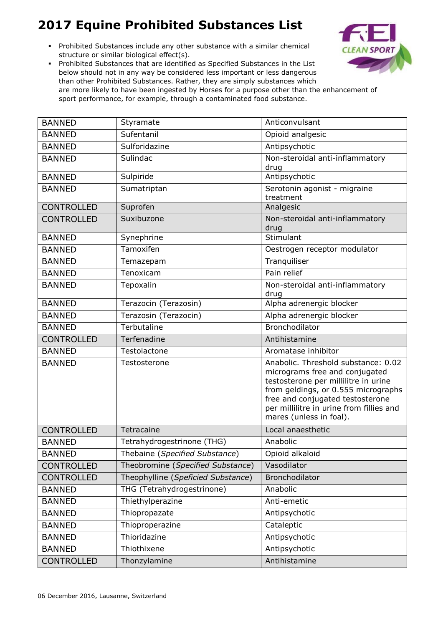Prohibited Substances include any other substance with a similar chemical structure or similar biological effect(s).



| <b>BANNED</b>     | Styramate                          | Anticonvulsant                                                                                                                                                                                                                                                  |
|-------------------|------------------------------------|-----------------------------------------------------------------------------------------------------------------------------------------------------------------------------------------------------------------------------------------------------------------|
| <b>BANNED</b>     | Sufentanil                         | Opioid analgesic                                                                                                                                                                                                                                                |
| <b>BANNED</b>     | Sulforidazine                      | Antipsychotic                                                                                                                                                                                                                                                   |
| <b>BANNED</b>     | Sulindac                           | Non-steroidal anti-inflammatory<br>drug                                                                                                                                                                                                                         |
| <b>BANNED</b>     | Sulpiride                          | Antipsychotic                                                                                                                                                                                                                                                   |
| <b>BANNED</b>     | Sumatriptan                        | Serotonin agonist - migraine<br>treatment                                                                                                                                                                                                                       |
| <b>CONTROLLED</b> | Suprofen                           | Analgesic                                                                                                                                                                                                                                                       |
| <b>CONTROLLED</b> | Suxibuzone                         | Non-steroidal anti-inflammatory<br>drug                                                                                                                                                                                                                         |
| <b>BANNED</b>     | Synephrine                         | Stimulant                                                                                                                                                                                                                                                       |
| <b>BANNED</b>     | Tamoxifen                          | Oestrogen receptor modulator                                                                                                                                                                                                                                    |
| <b>BANNED</b>     | Temazepam                          | Tranquiliser                                                                                                                                                                                                                                                    |
| <b>BANNED</b>     | Tenoxicam                          | Pain relief                                                                                                                                                                                                                                                     |
| <b>BANNED</b>     | Tepoxalin                          | Non-steroidal anti-inflammatory<br>drug                                                                                                                                                                                                                         |
| <b>BANNED</b>     | Terazocin (Terazosin)              | Alpha adrenergic blocker                                                                                                                                                                                                                                        |
| <b>BANNED</b>     | Terazosin (Terazocin)              | Alpha adrenergic blocker                                                                                                                                                                                                                                        |
| <b>BANNED</b>     | Terbutaline                        | Bronchodilator                                                                                                                                                                                                                                                  |
| <b>CONTROLLED</b> | Terfenadine                        | Antihistamine                                                                                                                                                                                                                                                   |
| <b>BANNED</b>     | Testolactone                       | Aromatase inhibitor                                                                                                                                                                                                                                             |
| <b>BANNED</b>     | Testosterone                       | Anabolic. Threshold substance: 0.02<br>micrograms free and conjugated<br>testosterone per millilitre in urine<br>from geldings, or 0.555 micrographs<br>free and conjugated testosterone<br>per millilitre in urine from fillies and<br>mares (unless in foal). |
| <b>CONTROLLED</b> | Tetracaine                         | Local anaesthetic                                                                                                                                                                                                                                               |
| <b>BANNED</b>     | Tetrahydrogestrinone (THG)         | Anabolic                                                                                                                                                                                                                                                        |
| <b>BANNED</b>     | Thebaine (Specified Substance)     | Opioid alkaloid                                                                                                                                                                                                                                                 |
| CONTROLLED        | Theobromine (Specified Substance)  | Vasodilator                                                                                                                                                                                                                                                     |
| <b>CONTROLLED</b> | Theophylline (Speficied Substance) | Bronchodilator                                                                                                                                                                                                                                                  |
| <b>BANNED</b>     | THG (Tetrahydrogestrinone)         | Anabolic                                                                                                                                                                                                                                                        |
| <b>BANNED</b>     | Thiethylperazine                   | Anti-emetic                                                                                                                                                                                                                                                     |
| <b>BANNED</b>     | Thiopropazate                      | Antipsychotic                                                                                                                                                                                                                                                   |
| <b>BANNED</b>     | Thioproperazine                    | Cataleptic                                                                                                                                                                                                                                                      |
| <b>BANNED</b>     | Thioridazine                       | Antipsychotic                                                                                                                                                                                                                                                   |
| <b>BANNED</b>     | Thiothixene                        | Antipsychotic                                                                                                                                                                                                                                                   |
| <b>CONTROLLED</b> | Thonzylamine                       | Antihistamine                                                                                                                                                                                                                                                   |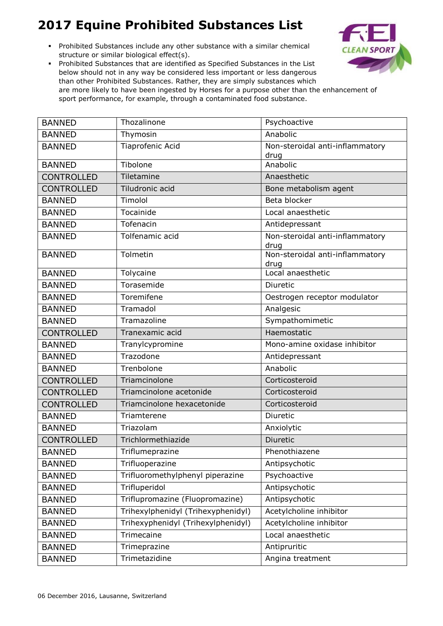Prohibited Substances include any other substance with a similar chemical structure or similar biological effect(s).



| <b>BANNED</b>     | Thozalinone                        | Psychoactive                            |
|-------------------|------------------------------------|-----------------------------------------|
| <b>BANNED</b>     | Thymosin                           | Anabolic                                |
| <b>BANNED</b>     | Tiaprofenic Acid                   | Non-steroidal anti-inflammatory         |
| <b>BANNED</b>     | Tibolone                           | drug<br>Anabolic                        |
|                   | Tiletamine                         | Anaesthetic                             |
| <b>CONTROLLED</b> |                                    |                                         |
| <b>CONTROLLED</b> | Tiludronic acid                    | Bone metabolism agent                   |
| <b>BANNED</b>     | Timolol                            | Beta blocker                            |
| <b>BANNED</b>     | Tocainide                          | Local anaesthetic                       |
| <b>BANNED</b>     | Tofenacin                          | Antidepressant                          |
| <b>BANNED</b>     | Tolfenamic acid                    | Non-steroidal anti-inflammatory<br>drug |
| <b>BANNED</b>     | Tolmetin                           | Non-steroidal anti-inflammatory<br>drug |
| <b>BANNED</b>     | Tolycaine                          | Local anaesthetic                       |
| <b>BANNED</b>     | Torasemide                         | Diuretic                                |
| <b>BANNED</b>     | Toremifene                         | Oestrogen receptor modulator            |
| <b>BANNED</b>     | Tramadol                           | Analgesic                               |
| <b>BANNED</b>     | Tramazoline                        | Sympathomimetic                         |
| <b>CONTROLLED</b> | Tranexamic acid                    | Haemostatic                             |
| <b>BANNED</b>     | Tranylcypromine                    | Mono-amine oxidase inhibitor            |
| <b>BANNED</b>     | Trazodone                          | Antidepressant                          |
| <b>BANNED</b>     | Trenbolone                         | Anabolic                                |
| <b>CONTROLLED</b> | Triamcinolone                      | Corticosteroid                          |
| <b>CONTROLLED</b> | Triamcinolone acetonide            | Corticosteroid                          |
| <b>CONTROLLED</b> | Triamcinolone hexacetonide         | Corticosteroid                          |
| <b>BANNED</b>     | Triamterene                        | Diuretic                                |
| <b>BANNED</b>     | Triazolam                          | Anxiolytic                              |
| <b>CONTROLLED</b> | Trichlormethiazide                 | Diuretic                                |
| <b>BANNED</b>     | Triflumeprazine                    | Phenothiazene                           |
| <b>BANNED</b>     | Trifluoperazine                    | Antipsychotic                           |
| <b>BANNED</b>     | Trifluoromethylphenyl piperazine   | Psychoactive                            |
| <b>BANNED</b>     | Trifluperidol                      | Antipsychotic                           |
| <b>BANNED</b>     | Triflupromazine (Fluopromazine)    | Antipsychotic                           |
| <b>BANNED</b>     | Trihexylphenidyl (Trihexyphenidyl) | Acetylcholine inhibitor                 |
| <b>BANNED</b>     | Trihexyphenidyl (Trihexylphenidyl) | Acetylcholine inhibitor                 |
| <b>BANNED</b>     | Trimecaine                         | Local anaesthetic                       |
| <b>BANNED</b>     | Trimeprazine                       | Antipruritic                            |
| <b>BANNED</b>     | Trimetazidine                      | Angina treatment                        |